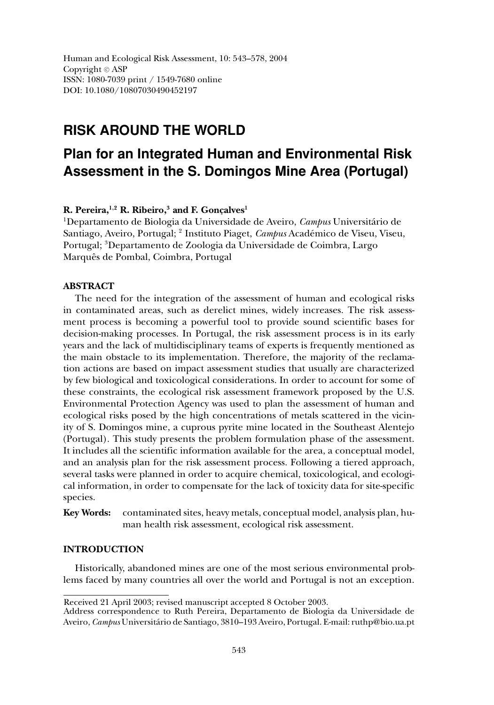Human and Ecological Risk Assessment, 10: 543–578, 2004 Copyright  $\odot$  ASP ISSN: 1080-7039 print / 1549-7680 online DOI: 10.1080/10807030490452197

# **RISK AROUND THE WORLD**

# **Plan for an Integrated Human and Environmental Risk Assessment in the S. Domingos Mine Area (Portugal)**

# $R$ . Pereira,<sup>1,2</sup>  $R$ . Ribeiro,<sup>3</sup> and  $F$ . Gonçalves<sup>1</sup>

<sup>1</sup>Departamento de Biologia da Universidade de Aveiro, *Campus* Universitário de Santiago, Aveiro, Portugal; <sup>2</sup> Instituto Piaget, *Campus* Académico de Viseu, Viseu, Portugal; <sup>3</sup> Departamento de Zoologia da Universidade de Coimbra, Largo Marquês de Pombal, Coimbra, Portugal

# **ABSTRACT**

The need for the integration of the assessment of human and ecological risks in contaminated areas, such as derelict mines, widely increases. The risk assessment process is becoming a powerful tool to provide sound scientific bases for decision-making processes. In Portugal, the risk assessment process is in its early years and the lack of multidisciplinary teams of experts is frequently mentioned as the main obstacle to its implementation. Therefore, the majority of the reclamation actions are based on impact assessment studies that usually are characterized by few biological and toxicological considerations. In order to account for some of these constraints, the ecological risk assessment framework proposed by the U.S. Environmental Protection Agency was used to plan the assessment of human and ecological risks posed by the high concentrations of metals scattered in the vicinity of S. Domingos mine, a cuprous pyrite mine located in the Southeast Alentejo (Portugal). This study presents the problem formulation phase of the assessment. It includes all the scientific information available for the area, a conceptual model, and an analysis plan for the risk assessment process. Following a tiered approach, several tasks were planned in order to acquire chemical, toxicological, and ecological information, in order to compensate for the lack of toxicity data for site-specific species.

**Key Words:** contaminated sites, heavy metals, conceptual model, analysis plan, human health risk assessment, ecological risk assessment.

# **INTRODUCTION**

Historically, abandoned mines are one of the most serious environmental problems faced by many countries all over the world and Portugal is not an exception.

Received 21 April 2003; revised manuscript accepted 8 October 2003.

Address correspondence to Ruth Pereira, Departamento de Biologia da Universidade de Aveiro, *Campus* Universit´ario de Santiago, 3810–193 Aveiro, Portugal. E-mail: ruthp@bio.ua.pt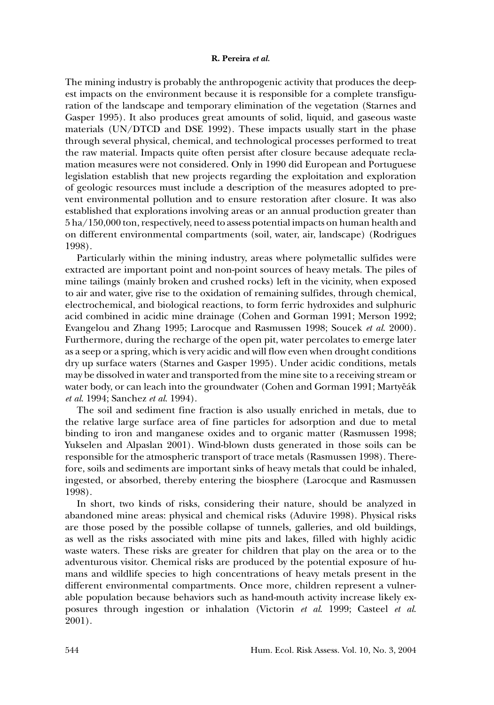The mining industry is probably the anthropogenic activity that produces the deepest impacts on the environment because it is responsible for a complete transfiguration of the landscape and temporary elimination of the vegetation (Starnes and Gasper 1995). It also produces great amounts of solid, liquid, and gaseous waste materials (UN/DTCD and DSE 1992). These impacts usually start in the phase through several physical, chemical, and technological processes performed to treat the raw material. Impacts quite often persist after closure because adequate reclamation measures were not considered. Only in 1990 did European and Portuguese legislation establish that new projects regarding the exploitation and exploration of geologic resources must include a description of the measures adopted to prevent environmental pollution and to ensure restoration after closure. It was also established that explorations involving areas or an annual production greater than 5 ha/150,000 ton, respectively, need to assess potential impacts on human health and on different environmental compartments (soil, water, air, landscape) (Rodrigues 1998).

Particularly within the mining industry, areas where polymetallic sulfides were extracted are important point and non-point sources of heavy metals. The piles of mine tailings (mainly broken and crushed rocks) left in the vicinity, when exposed to air and water, give rise to the oxidation of remaining sulfides, through chemical, electrochemical, and biological reactions, to form ferric hydroxides and sulphuric acid combined in acidic mine drainage (Cohen and Gorman 1991; Merson 1992; Evangelou and Zhang 1995; Larocque and Rasmussen 1998; Soucek *et al*. 2000). Furthermore, during the recharge of the open pit, water percolates to emerge later as a seep or a spring, which is very acidic and will flow even when drought conditions dry up surface waters (Starnes and Gasper 1995). Under acidic conditions, metals may be dissolved in water and transported from the mine site to a receiving stream or water body, or can leach into the groundwater (Cohen and Gorman 1991; Martyěák *et al*. 1994; Sanchez *et al*. 1994).

The soil and sediment fine fraction is also usually enriched in metals, due to the relative large surface area of fine particles for adsorption and due to metal binding to iron and manganese oxides and to organic matter (Rasmussen 1998; Yukselen and Alpaslan 2001). Wind-blown dusts generated in those soils can be responsible for the atmospheric transport of trace metals (Rasmussen 1998). Therefore, soils and sediments are important sinks of heavy metals that could be inhaled, ingested, or absorbed, thereby entering the biosphere (Larocque and Rasmussen 1998).

In short, two kinds of risks, considering their nature, should be analyzed in abandoned mine areas: physical and chemical risks (Aduvire 1998). Physical risks are those posed by the possible collapse of tunnels, galleries, and old buildings, as well as the risks associated with mine pits and lakes, filled with highly acidic waste waters. These risks are greater for children that play on the area or to the adventurous visitor. Chemical risks are produced by the potential exposure of humans and wildlife species to high concentrations of heavy metals present in the different environmental compartments. Once more, children represent a vulnerable population because behaviors such as hand-mouth activity increase likely exposures through ingestion or inhalation (Victorin *et al*. 1999; Casteel *et al*. 2001).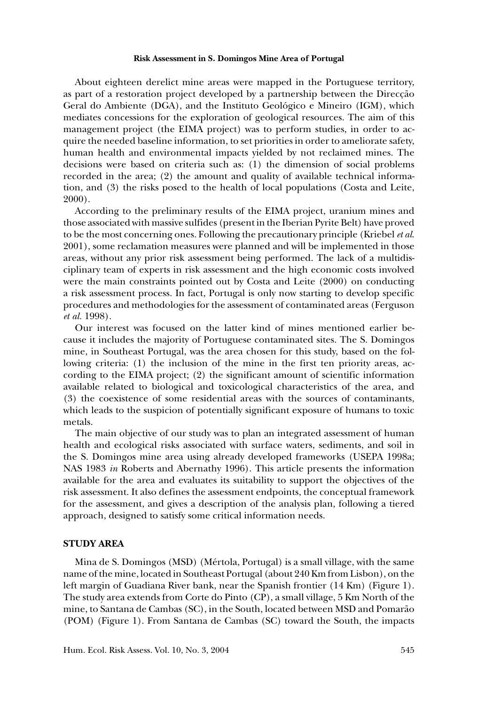About eighteen derelict mine areas were mapped in the Portuguese territory, as part of a restoration project developed by a partnership between the Direcção Geral do Ambiente (DGA), and the Instituto Geológico e Mineiro (IGM), which mediates concessions for the exploration of geological resources. The aim of this management project (the EIMA project) was to perform studies, in order to acquire the needed baseline information, to set priorities in order to ameliorate safety, human health and environmental impacts yielded by not reclaimed mines. The decisions were based on criteria such as: (1) the dimension of social problems recorded in the area; (2) the amount and quality of available technical information, and (3) the risks posed to the health of local populations (Costa and Leite, 2000).

According to the preliminary results of the EIMA project, uranium mines and those associated with massive sulfides (present in the Iberian Pyrite Belt) have proved to be the most concerning ones. Following the precautionary principle (Kriebel *et al*. 2001), some reclamation measures were planned and will be implemented in those areas, without any prior risk assessment being performed. The lack of a multidisciplinary team of experts in risk assessment and the high economic costs involved were the main constraints pointed out by Costa and Leite (2000) on conducting a risk assessment process. In fact, Portugal is only now starting to develop specific procedures and methodologies for the assessment of contaminated areas (Ferguson *et al.* 1998).

Our interest was focused on the latter kind of mines mentioned earlier because it includes the majority of Portuguese contaminated sites. The S. Domingos mine, in Southeast Portugal, was the area chosen for this study, based on the following criteria: (1) the inclusion of the mine in the first ten priority areas, according to the EIMA project; (2) the significant amount of scientific information available related to biological and toxicological characteristics of the area, and (3) the coexistence of some residential areas with the sources of contaminants, which leads to the suspicion of potentially significant exposure of humans to toxic metals.

The main objective of our study was to plan an integrated assessment of human health and ecological risks associated with surface waters, sediments, and soil in the S. Domingos mine area using already developed frameworks (USEPA 1998a; NAS 1983 *in* Roberts and Abernathy 1996). This article presents the information available for the area and evaluates its suitability to support the objectives of the risk assessment. It also defines the assessment endpoints, the conceptual framework for the assessment, and gives a description of the analysis plan, following a tiered approach, designed to satisfy some critical information needs.

# **STUDY AREA**

Mina de S. Domingos (MSD) (Mértola, Portugal) is a small village, with the same name of the mine, located in Southeast Portugal (about 240 Km from Lisbon), on the left margin of Guadiana River bank, near the Spanish frontier (14 Km) (Figure 1). The study area extends from Corte do Pinto (CP), a small village, 5 Km North of the mine, to Santana de Cambas (SC), in the South, located between MSD and Pomarão (POM) (Figure 1). From Santana de Cambas (SC) toward the South, the impacts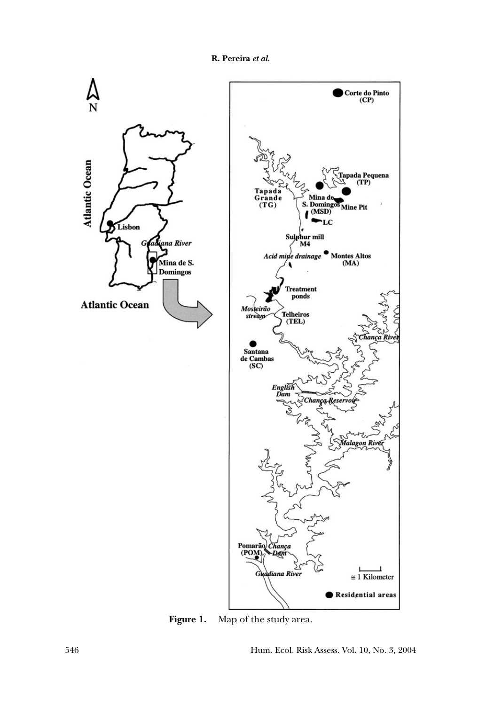

**Figure 1.** Map of the study area.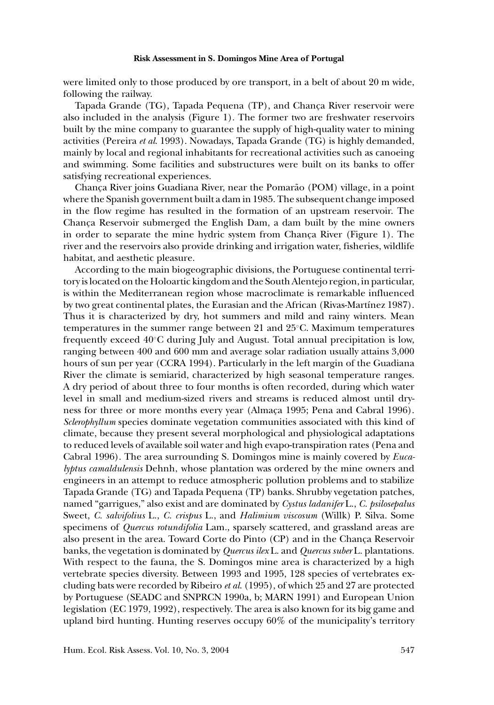were limited only to those produced by ore transport, in a belt of about 20 m wide, following the railway.

Tapada Grande (TG), Tapada Pequena (TP), and Chança River reservoir were also included in the analysis (Figure 1). The former two are freshwater reservoirs built by the mine company to guarantee the supply of high-quality water to mining activities (Pereira *et al*. 1993). Nowadays, Tapada Grande (TG) is highly demanded, mainly by local and regional inhabitants for recreational activities such as canoeing and swimming. Some facilities and substructures were built on its banks to offer satisfying recreational experiences.

Chança River joins Guadiana River, near the Pomarão (POM) village, in a point where the Spanish government built a dam in 1985. The subsequent change imposed in the flow regime has resulted in the formation of an upstream reservoir. The Chanca Reservoir submerged the English Dam, a dam built by the mine owners ¸ in order to separate the mine hydric system from Chança River (Figure 1). The river and the reservoirs also provide drinking and irrigation water, fisheries, wildlife habitat, and aesthetic pleasure.

According to the main biogeographic divisions, the Portuguese continental territory is located on the Holoartic kingdom and the South Alentejo region, in particular, is within the Mediterranean region whose macroclimate is remarkable influenced by two great continental plates, the Eurasian and the African (Rivas-Martínez 1987). Thus it is characterized by dry, hot summers and mild and rainy winters. Mean temperatures in the summer range between 21 and 25◦ C. Maximum temperatures frequently exceed 40◦ C during July and August. Total annual precipitation is low, ranging between 400 and 600 mm and average solar radiation usually attains 3,000 hours of sun per year (CCRA 1994). Particularly in the left margin of the Guadiana River the climate is semiarid, characterized by high seasonal temperature ranges. A dry period of about three to four months is often recorded, during which water level in small and medium-sized rivers and streams is reduced almost until dryness for three or more months every year (Almaca 1995; Pena and Cabral 1996). *Sclerophyllum* species dominate vegetation communities associated with this kind of climate, because they present several morphological and physiological adaptations to reduced levels of available soil water and high evapo-transpiration rates (Pena and Cabral 1996). The area surrounding S. Domingos mine is mainly covered by *Eucalyptus camaldulensis* Dehnh, whose plantation was ordered by the mine owners and engineers in an attempt to reduce atmospheric pollution problems and to stabilize Tapada Grande (TG) and Tapada Pequena (TP) banks. Shrubby vegetation patches, named "garrigues," also exist and are dominated by *Cystus ladanifer* L., *C. psilosepalus* Sweet, *C. salvifolius* L., *C. crispus* L., and *Halimium viscosum* (Willk) P. Silva. Some specimens of *Quercus rotundifolia* Lam., sparsely scattered, and grassland areas are also present in the area. Toward Corte do Pinto (CP) and in the Chança Reservoir banks, the vegetation is dominated by *Quercus ilex* L. and *Quercus suber* L. plantations. With respect to the fauna, the S. Domingos mine area is characterized by a high vertebrate species diversity. Between 1993 and 1995, 128 species of vertebrates excluding bats were recorded by Ribeiro *et al*. (1995), of which 25 and 27 are protected by Portuguese (SEADC and SNPRCN 1990a, b; MARN 1991) and European Union legislation (EC 1979, 1992), respectively. The area is also known for its big game and upland bird hunting. Hunting reserves occupy 60% of the municipality's territory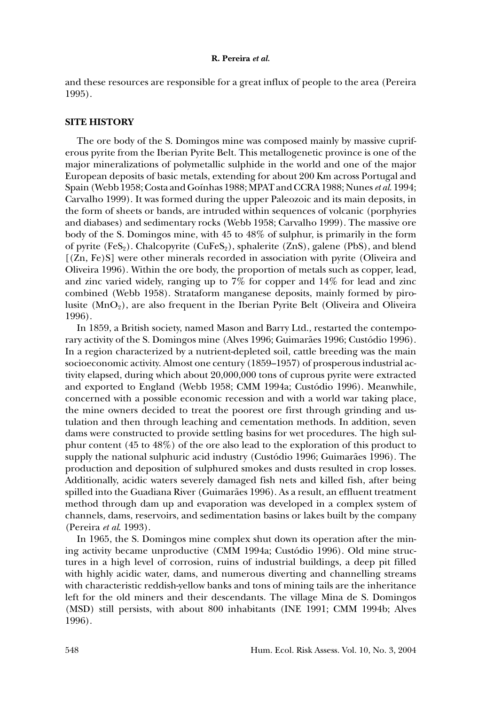and these resources are responsible for a great influx of people to the area (Pereira 1995).

# **SITE HISTORY**

The ore body of the S. Domingos mine was composed mainly by massive cupriferous pyrite from the Iberian Pyrite Belt. This metallogenetic province is one of the major mineralizations of polymetallic sulphide in the world and one of the major European deposits of basic metals, extending for about 200 Km across Portugal and Spain (Webb 1958; Costa and Go´ınhas 1988; MPAT and CCRA 1988; Nunes*et al*. 1994; Carvalho 1999). It was formed during the upper Paleozoic and its main deposits, in the form of sheets or bands, are intruded within sequences of volcanic (porphyries and diabases) and sedimentary rocks (Webb 1958; Carvalho 1999). The massive ore body of the S. Domingos mine, with 45 to 48% of sulphur, is primarily in the form of pyrite  $(F \in S_2)$ . Chalcopyrite (CuFeS<sub>2</sub>), sphalerite (ZnS), galene (PbS), and blend [(Zn, Fe)S] were other minerals recorded in association with pyrite (Oliveira and Oliveira 1996). Within the ore body, the proportion of metals such as copper, lead, and zinc varied widely, ranging up to 7% for copper and 14% for lead and zinc combined (Webb 1958). Strataform manganese deposits, mainly formed by pirolusite  $(MnO<sub>2</sub>)$ , are also frequent in the Iberian Pyrite Belt (Oliveira and Oliveira 1996).

In 1859, a British society, named Mason and Barry Ltd., restarted the contemporary activity of the S. Domingos mine (Alves 1996; Guimarães 1996; Custódio 1996). In a region characterized by a nutrient-depleted soil, cattle breeding was the main socioeconomic activity. Almost one century (1859–1957) of prosperous industrial activity elapsed, during which about 20,000,000 tons of cuprous pyrite were extracted and exported to England (Webb 1958; CMM 1994a; Custodio 1996). Meanwhile, ´ concerned with a possible economic recession and with a world war taking place, the mine owners decided to treat the poorest ore first through grinding and ustulation and then through leaching and cementation methods. In addition, seven dams were constructed to provide settling basins for wet procedures. The high sulphur content (45 to 48%) of the ore also lead to the exploration of this product to supply the national sulphuric acid industry (Custódio 1996; Guimarães 1996). The production and deposition of sulphured smokes and dusts resulted in crop losses. Additionally, acidic waters severely damaged fish nets and killed fish, after being spilled into the Guadiana River (Guimarães 1996). As a result, an effluent treatment method through dam up and evaporation was developed in a complex system of channels, dams, reservoirs, and sedimentation basins or lakes built by the company (Pereira *et al*. 1993).

In 1965, the S. Domingos mine complex shut down its operation after the mining activity became unproductive (CMM 1994a; Custodio 1996). Old mine struc- ´ tures in a high level of corrosion, ruins of industrial buildings, a deep pit filled with highly acidic water, dams, and numerous diverting and channelling streams with characteristic reddish-yellow banks and tons of mining tails are the inheritance left for the old miners and their descendants. The village Mina de S. Domingos (MSD) still persists, with about 800 inhabitants (INE 1991; CMM 1994b; Alves 1996).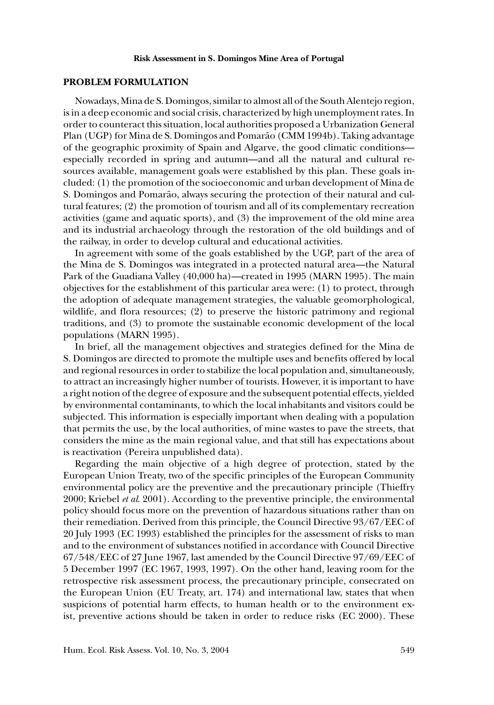### **PROBLEM FORMULATION**

Nowadays, Mina de S. Domingos, similar to almost all of the South Alentejo region, is in a deep economic and social crisis, characterized by high unemployment rates. In order to counteract this situation, local authorities proposed a Urbanization General Plan (UGP) for Mina de S. Domingos and Pomarão (CMM 1994b). Taking advantage of the geographic proximity of Spain and Algarve, the good climatic conditions especially recorded in spring and autumn—and all the natural and cultural resources available, management goals were established by this plan. These goals included: (1) the promotion of the socioeconomic and urban development of Mina de S. Domingos and Pomarão, always securing the protection of their natural and cultural features; (2) the promotion of tourism and all of its complementary recreation activities (game and aquatic sports), and (3) the improvement of the old mine area and its industrial archaeology through the restoration of the old buildings and of the railway, in order to develop cultural and educational activities.

In agreement with some of the goals established by the UGP, part of the area of the Mina de S. Domingos was integrated in a protected natural area—the Natural Park of the Guadiana Valley (40,000 ha)—created in 1995 (MARN 1995). The main objectives for the establishment of this particular area were: (1) to protect, through the adoption of adequate management strategies, the valuable geomorphological, wildlife, and flora resources; (2) to preserve the historic patrimony and regional traditions, and (3) to promote the sustainable economic development of the local populations (MARN 1995).

In brief, all the management objectives and strategies defined for the Mina de S. Domingos are directed to promote the multiple uses and benefits offered by local and regional resources in order to stabilize the local population and, simultaneously, to attract an increasingly higher number of tourists. However, it is important to have a right notion of the degree of exposure and the subsequent potential effects, yielded by environmental contaminants, to which the local inhabitants and visitors could be subjected. This information is especially important when dealing with a population that permits the use, by the local authorities, of mine wastes to pave the streets, that considers the mine as the main regional value, and that still has expectations about is reactivation (Pereira unpublished data).

Regarding the main objective of a high degree of protection, stated by the European Union Treaty, two of the specific principles of the European Community environmental policy are the preventive and the precautionary principle (Thieffry 2000; Kriebel *et al*. 2001). According to the preventive principle, the environmental policy should focus more on the prevention of hazardous situations rather than on their remediation. Derived from this principle, the Council Directive 93/67/EEC of 20 July 1993 (EC 1993) established the principles for the assessment of risks to man and to the environment of substances notified in accordance with Council Directive 67/548/EEC of 27 June 1967, last amended by the Council Directive 97/69/EEC of 5 December 1997 (EC 1967, 1993, 1997). On the other hand, leaving room for the retrospective risk assessment process, the precautionary principle, consecrated on the European Union (EU Treaty, art. 174) and international law, states that when suspicions of potential harm effects, to human health or to the environment exist, preventive actions should be taken in order to reduce risks (EC 2000). These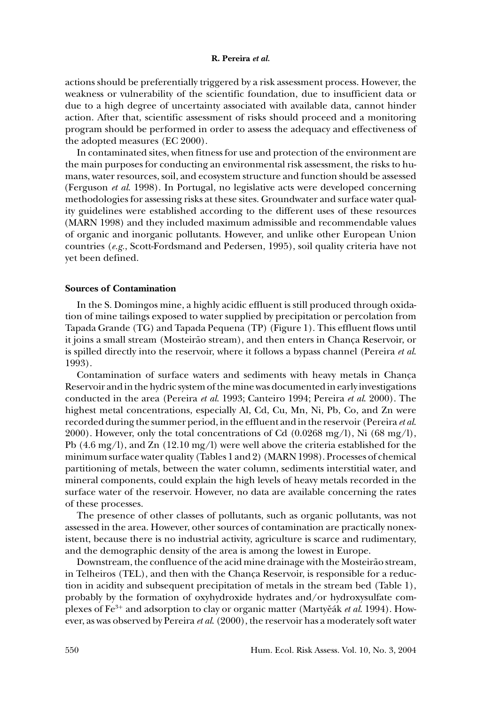actions should be preferentially triggered by a risk assessment process. However, the weakness or vulnerability of the scientific foundation, due to insufficient data or due to a high degree of uncertainty associated with available data, cannot hinder action. After that, scientific assessment of risks should proceed and a monitoring program should be performed in order to assess the adequacy and effectiveness of the adopted measures (EC 2000).

In contaminated sites, when fitness for use and protection of the environment are the main purposes for conducting an environmental risk assessment, the risks to humans, water resources, soil, and ecosystem structure and function should be assessed (Ferguson *et al*. 1998). In Portugal, no legislative acts were developed concerning methodologies for assessing risks at these sites. Groundwater and surface water quality guidelines were established according to the different uses of these resources (MARN 1998) and they included maximum admissible and recommendable values of organic and inorganic pollutants. However, and unlike other European Union countries (*e.g.*, Scott-Fordsmand and Pedersen, 1995), soil quality criteria have not yet been defined.

### **Sources of Contamination**

In the S. Domingos mine, a highly acidic effluent is still produced through oxidation of mine tailings exposed to water supplied by precipitation or percolation from Tapada Grande (TG) and Tapada Pequena (TP) (Figure 1). This effluent flows until it joins a small stream (Mosteirão stream), and then enters in Chança Reservoir, or is spilled directly into the reservoir, where it follows a bypass channel (Pereira *et al*. 1993).

Contamination of surface waters and sediments with heavy metals in Chança Reservoir and in the hydric system of the mine was documented in early investigations conducted in the area (Pereira *et al*. 1993; Canteiro 1994; Pereira *et al*. 2000). The highest metal concentrations, especially Al, Cd, Cu, Mn, Ni, Pb, Co, and Zn were recorded during the summer period, in the effluent and in the reservoir (Pereira *et al*. 2000). However, only the total concentrations of Cd  $(0.0268 \text{ mg/l})$ , Ni  $(68 \text{ mg/l})$ , Pb (4.6 mg/l), and Zn (12.10 mg/l) were well above the criteria established for the minimum surface water quality (Tables 1 and 2) (MARN 1998). Processes of chemical partitioning of metals, between the water column, sediments interstitial water, and mineral components, could explain the high levels of heavy metals recorded in the surface water of the reservoir. However, no data are available concerning the rates of these processes.

The presence of other classes of pollutants, such as organic pollutants, was not assessed in the area. However, other sources of contamination are practically nonexistent, because there is no industrial activity, agriculture is scarce and rudimentary, and the demographic density of the area is among the lowest in Europe.

Downstream, the confluence of the acid mine drainage with the Mosteirão stream, in Telheiros (TEL), and then with the Chanca Reservoir, is responsible for a reduction in acidity and subsequent precipitation of metals in the stream bed (Table 1), probably by the formation of oxyhydroxide hydrates and/or hydroxysulfate complexes of Fe<sup>3+</sup> and adsorption to clay or organic matter (Martyěák *et al.* 1994). However, as was observed by Pereira *et al*. (2000), the reservoir has a moderately soft water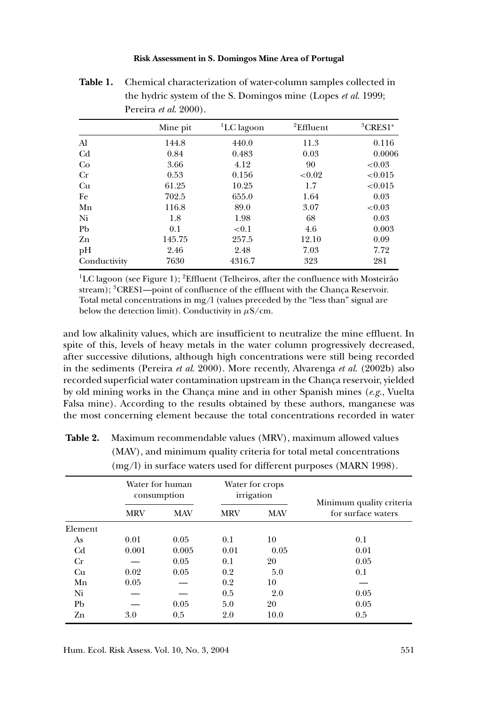|                | Mine pit | <sup>1</sup> LC lagoon | <sup>2</sup> Effluent | ${}^{3}$ CRES1 $*$ |
|----------------|----------|------------------------|-----------------------|--------------------|
| Al             | 144.8    | 440.0                  | 11.3                  | 0.116              |
| C <sub>d</sub> | 0.84     | 0.483                  | 0.03                  | 0.0006             |
| Co             | 3.66     | 4.12                   | 90                    | ${<}0.03$          |
| <b>Cr</b>      | 0.53     | 0.156                  | ${<}0.02$             | < 0.015            |
| Cu             | 61.25    | 10.25                  | $1.7\,$               | < 0.015            |
| Fe             | 702.5    | 655.0                  | 1.64                  | 0.03               |
| Mn             | 116.8    | 89.0                   | 3.07                  | ${<}0.03$          |
| Ni             | 1.8      | 1.98                   | 68                    | 0.03               |
| Pb             | 0.1      | ${<}0.1$               | 4.6                   | 0.003              |
| Zn             | 145.75   | 257.5                  | 12.10                 | 0.09               |
| pH             | 2.46     | 2.48                   | 7.03                  | 7.72               |
| Conductivity   | 7630     | 4316.7                 | 323                   | 281                |

**Table 1.** Chemical characterization of water-column samples collected in the hydric system of the S. Domingos mine (Lopes *et al*. 1999; Pereira *et al*. 2000).

 ${}^{1}$ LC lagoon (see Figure 1); <sup>2</sup>Effluent (Telheiros, after the confluence with Mosteirão stream); <sup>3</sup>CRES1—point of confluence of the effluent with the Chança Reservoir. Total metal concentrations in mg/l (values preceded by the "less than" signal are below the detection limit). Conductivity in  $\mu$ S/cm.

and low alkalinity values, which are insufficient to neutralize the mine effluent. In spite of this, levels of heavy metals in the water column progressively decreased, after successive dilutions, although high concentrations were still being recorded in the sediments (Pereira *et al*. 2000). More recently, Alvarenga *et al*. (2002b) also recorded superficial water contamination upstream in the Chança reservoir, yielded by old mining works in the Chança mine and in other Spanish mines  $(e.g., Vuelta$ Falsa mine). According to the results obtained by these authors, manganese was the most concerning element because the total concentrations recorded in water

|             | Water for human<br>consumption |       | Water for crops<br>irrigation |            |                                                |  |
|-------------|--------------------------------|-------|-------------------------------|------------|------------------------------------------------|--|
|             | <b>MRV</b>                     | MAV   | <b>MRV</b>                    | <b>MAV</b> | Minimum quality criteria<br>for surface waters |  |
| Element     |                                |       |                               |            |                                                |  |
| As          | 0.01                           | 0.05  | 0.1                           | 10         | 0.1                                            |  |
| Cd          | 0.001                          | 0.005 | 0.01                          | 0.05       | 0.01                                           |  |
| $_{\rm Cr}$ |                                | 0.05  | 0.1                           | 20         | 0.05                                           |  |
| Cu          | 0.02                           | 0.05  | 0.2                           | 5.0        | 0.1                                            |  |
| Mn          | 0.05                           |       | 0.2                           | 10         |                                                |  |
| Ni          |                                |       | 0.5                           | 2.0        | 0.05                                           |  |
| Pb          |                                | 0.05  | 5.0                           | 20         | 0.05                                           |  |
| Zn          | 3.0                            | 0.5   | 2.0                           | 10.0       | 0.5                                            |  |

**Table 2.** Maximum recommendable values (MRV), maximum allowed values (MAV), and minimum quality criteria for total metal concentrations (mg/l) in surface waters used for different purposes (MARN 1998).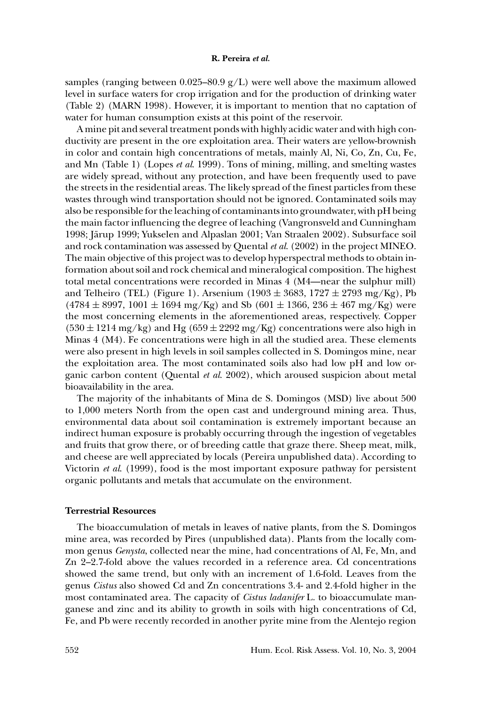samples (ranging between  $0.025-80.9$  g/L) were well above the maximum allowed level in surface waters for crop irrigation and for the production of drinking water (Table 2) (MARN 1998). However, it is important to mention that no captation of water for human consumption exists at this point of the reservoir.

A mine pit and several treatment ponds with highly acidic water and with high conductivity are present in the ore exploitation area. Their waters are yellow-brownish in color and contain high concentrations of metals, mainly Al, Ni, Co, Zn, Cu, Fe, and Mn (Table 1) (Lopes *et al*. 1999). Tons of mining, milling, and smelting wastes are widely spread, without any protection, and have been frequently used to pave the streets in the residential areas. The likely spread of the finest particles from these wastes through wind transportation should not be ignored. Contaminated soils may also be responsible for the leaching of contaminants into groundwater, with pH being the main factor influencing the degree of leaching (Vangronsveld and Cunningham 1998; Jarup 1999; Yukselen and Alpaslan 2001; Van Straalen 2002). Subsurface soil ¨ and rock contamination was assessed by Quental *et al*. (2002) in the project MINEO. The main objective of this project was to develop hyperspectral methods to obtain information about soil and rock chemical and mineralogical composition. The highest total metal concentrations were recorded in Minas 4 (M4—near the sulphur mill) and Telheiro (TEL) (Figure 1). Arsenium (1903  $\pm$  3683, 1727  $\pm$  2793 mg/Kg), Pb  $(4784 \pm 8997, 1001 \pm 1694 \text{ mg/Kg})$  and Sb  $(601 \pm 1366, 236 \pm 467 \text{ mg/Kg})$  were the most concerning elements in the aforementioned areas, respectively. Copper  $(530 \pm 1214 \text{ mg/kg})$  and Hg  $(659 \pm 2292 \text{ mg/Kg})$  concentrations were also high in Minas 4 (M4). Fe concentrations were high in all the studied area. These elements were also present in high levels in soil samples collected in S. Domingos mine, near the exploitation area. The most contaminated soils also had low pH and low organic carbon content (Quental *et al*. 2002), which aroused suspicion about metal bioavailability in the area.

The majority of the inhabitants of Mina de S. Domingos (MSD) live about 500 to 1,000 meters North from the open cast and underground mining area. Thus, environmental data about soil contamination is extremely important because an indirect human exposure is probably occurring through the ingestion of vegetables and fruits that grow there, or of breeding cattle that graze there. Sheep meat, milk, and cheese are well appreciated by locals (Pereira unpublished data). According to Victorin *et al*. (1999), food is the most important exposure pathway for persistent organic pollutants and metals that accumulate on the environment.

# **Terrestrial Resources**

The bioaccumulation of metals in leaves of native plants, from the S. Domingos mine area, was recorded by Pires (unpublished data). Plants from the locally common genus *Genysta*, collected near the mine, had concentrations of Al, Fe, Mn, and Zn 2–2.7-fold above the values recorded in a reference area. Cd concentrations showed the same trend, but only with an increment of 1.6-fold. Leaves from the genus *Cistus* also showed Cd and Zn concentrations 3.4- and 2.4-fold higher in the most contaminated area. The capacity of *Cistus ladanifer* L. to bioaccumulate manganese and zinc and its ability to growth in soils with high concentrations of Cd, Fe, and Pb were recently recorded in another pyrite mine from the Alentejo region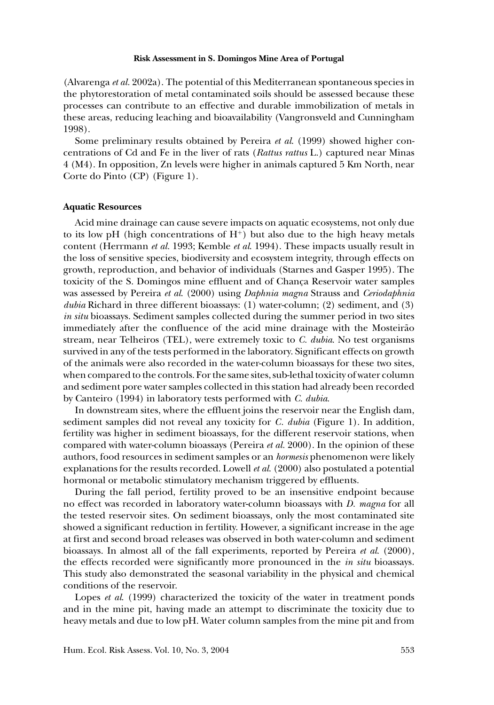(Alvarenga *et al.* 2002a). The potential of this Mediterranean spontaneous species in the phytorestoration of metal contaminated soils should be assessed because these processes can contribute to an effective and durable immobilization of metals in these areas, reducing leaching and bioavailability (Vangronsveld and Cunningham 1998).

Some preliminary results obtained by Pereira *et al*. (1999) showed higher concentrations of Cd and Fe in the liver of rats (*Rattus rattus* L.) captured near Minas 4 (M4). In opposition, Zn levels were higher in animals captured 5 Km North, near Corte do Pinto (CP) (Figure 1).

# **Aquatic Resources**

Acid mine drainage can cause severe impacts on aquatic ecosystems, not only due to its low pH (high concentrations of  $H^+$ ) but also due to the high heavy metals content (Herrmann *et al.* 1993; Kemble *et al*. 1994). These impacts usually result in the loss of sensitive species, biodiversity and ecosystem integrity, through effects on growth, reproduction, and behavior of individuals (Starnes and Gasper 1995). The toxicity of the S. Domingos mine effluent and of Chança Reservoir water samples was assessed by Pereira *et al*. (2000) using *Daphnia magna* Strauss and *Ceriodaphnia dubia* Richard in three different bioassays: (1) water-column; (2) sediment, and (3) *in situ* bioassays. Sediment samples collected during the summer period in two sites immediately after the confluence of the acid mine drainage with the Mosteirão stream, near Telheiros (TEL), were extremely toxic to *C. dubia*. No test organisms survived in any of the tests performed in the laboratory. Significant effects on growth of the animals were also recorded in the water-column bioassays for these two sites, when compared to the controls. For the same sites, sub-lethal toxicity of water column and sediment pore water samples collected in this station had already been recorded by Canteiro (1994) in laboratory tests performed with *C. dubia*.

In downstream sites, where the effluent joins the reservoir near the English dam, sediment samples did not reveal any toxicity for *C*. *dubia* (Figure 1). In addition, fertility was higher in sediment bioassays, for the different reservoir stations, when compared with water-column bioassays (Pereira *et al.* 2000). In the opinion of these authors, food resources in sediment samples or an *hormesis* phenomenon were likely explanations for the results recorded. Lowell *et al*. (2000) also postulated a potential hormonal or metabolic stimulatory mechanism triggered by effluents.

During the fall period, fertility proved to be an insensitive endpoint because no effect was recorded in laboratory water-column bioassays with *D. magna* for all the tested reservoir sites. On sediment bioassays, only the most contaminated site showed a significant reduction in fertility. However, a significant increase in the age at first and second broad releases was observed in both water-column and sediment bioassays. In almost all of the fall experiments, reported by Pereira *et al*. (2000), the effects recorded were significantly more pronounced in the *in situ* bioassays. This study also demonstrated the seasonal variability in the physical and chemical conditions of the reservoir.

Lopes *et al*. (1999) characterized the toxicity of the water in treatment ponds and in the mine pit, having made an attempt to discriminate the toxicity due to heavy metals and due to low pH. Water column samples from the mine pit and from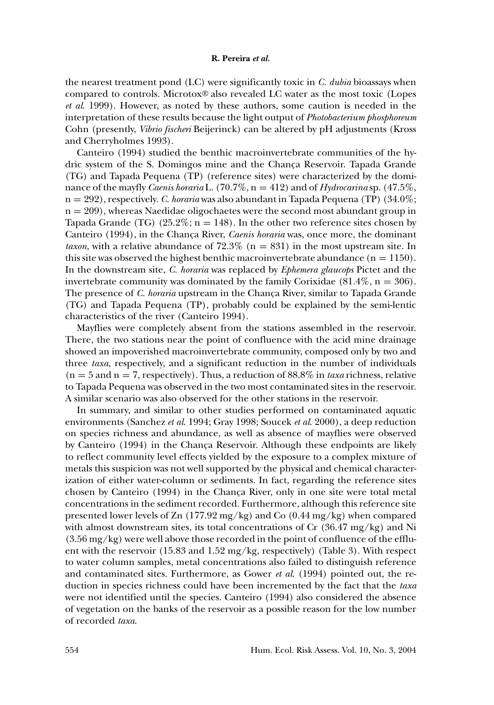the nearest treatment pond (LC) were significantly toxic in *C. dubia* bioassays when compared to controls. Microtox<sup>®</sup> also revealed LC water as the most toxic (Lopes *et al*. 1999). However, as noted by these authors, some caution is needed in the interpretation of these results because the light output of *Photobacterium phosphoreum* Cohn (presently, *Vibrio fischeri* Beijerinck) can be altered by pH adjustments (Kross and Cherryholmes 1993).

Canteiro (1994) studied the benthic macroinvertebrate communities of the hydric system of the S. Domingos mine and the Chanca Reservoir. Tapada Grande (TG) and Tapada Pequena (TP) (reference sites) were characterized by the dominance of the mayfly *Caenis horaria* L. (70.7%,  $n = 412$ ) and of *Hydrocarina* sp. (47.5%, n = 292), respectively. *C. horaria* was also abundant in Tapada Pequena (TP) (34.0%; n = 209), whereas Naedidae oligochaetes were the second most abundant group in Tapada Grande (TG) (25.2%;  $n = 148$ ). In the other two reference sites chosen by Canteiro (1994), in the Chança River, *Caenis horaria* was, once more, the dominant *taxon*, with a relative abundance of 72.3% ( $n = 831$ ) in the most upstream site. In this site was observed the highest benthic macroinvertebrate abundance  $(n = 1150)$ . In the downstream site, *C. horaria* was replaced by *Ephemera glaucops* Pictet and the invertebrate community was dominated by the family Corixidae  $(81.4\%, n = 306)$ . The presence of *C. horaria* upstream in the Chanca River, similar to Tapada Grande (TG) and Tapada Pequena (TP), probably could be explained by the semi-lentic characteristics of the river (Canteiro 1994).

Mayflies were completely absent from the stations assembled in the reservoir. There, the two stations near the point of confluence with the acid mine drainage showed an impoverished macroinvertebrate community, composed only by two and three *taxa*, respectively, and a significant reduction in the number of individuals  $(n = 5 \text{ and } n = 7$ , respectively). Thus, a reduction of 88.8% in *taxa* richness, relative to Tapada Pequena was observed in the two most contaminated sites in the reservoir. A similar scenario was also observed for the other stations in the reservoir.

In summary, and similar to other studies performed on contaminated aquatic environments (Sanchez *et al*. 1994; Gray 1998; Soucek *et al*. 2000), a deep reduction on species richness and abundance, as well as absence of mayflies were observed by Canteiro (1994) in the Chanca Reservoir. Although these endpoints are likely to reflect community level effects yielded by the exposure to a complex mixture of metals this suspicion was not well supported by the physical and chemical characterization of either water-column or sediments. In fact, regarding the reference sites chosen by Canteiro (1994) in the Chança River, only in one site were total metal concentrations in the sediment recorded. Furthermore, although this reference site presented lower levels of Zn (177.92 mg/kg) and Co (0.44 mg/kg) when compared with almost downstream sites, its total concentrations of  $Cr$  (36.47 mg/kg) and Ni (3.56 mg/kg) were well above those recorded in the point of confluence of the effluent with the reservoir (15.83 and 1.52 mg/kg, respectively) (Table 3). With respect to water column samples, metal concentrations also failed to distinguish reference and contaminated sites. Furthermore, as Gower *et al*. (1994) pointed out, the reduction in species richness could have been incremented by the fact that the *taxa* were not identified until the species. Canteiro (1994) also considered the absence of vegetation on the banks of the reservoir as a possible reason for the low number of recorded *taxa*.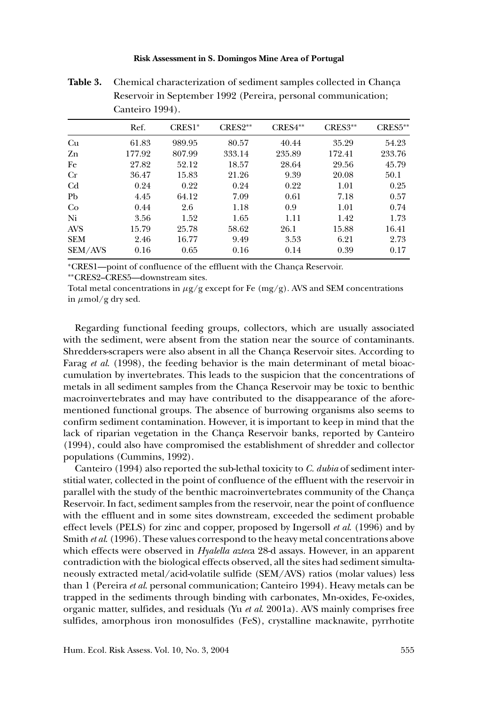|        | $\epsilon$ |           |         |         |         |
|--------|------------|-----------|---------|---------|---------|
| Ref.   | $CRES1*$   | $CRES2**$ | CRES4** | CRES3** | CRES5** |
| 61.83  | 989.95     | 80.57     | 40.44   | 35.29   | 54.23   |
| 177.92 | 807.99     | 333.14    | 235.89  | 172.41  | 233.76  |
| 27.82  | 52.12      | 18.57     | 28.64   | 29.56   | 45.79   |
| 36.47  | 15.83      | 21.26     | 9.39    | 20.08   | 50.1    |
| 0.24   | 0.22       | 0.24      | 0.22    | 1.01    | 0.25    |
| 4.45   | 64.12      | 7.09      | 0.61    | 7.18    | 0.57    |
| 0.44   | 2.6        | 1.18      | 0.9     | 1.01    | 0.74    |
| 3.56   | 1.52       | 1.65      | 1.11    | 1.42    | 1.73    |
| 15.79  | 25.78      | 58.62     | 26.1    | 15.88   | 16.41   |
| 2.46   | 16.77      | 9.49      | 3.53    | 6.21    | 2.73    |
| 0.16   | 0.65       | 0.16      | 0.14    | 0.39    | 0.17    |
|        |            |           |         |         |         |

**Table 3.** Chemical characterization of sediment samples collected in Chanca Reservoir in September 1992 (Pereira, personal communication; Canteiro 1994).

<sup>∗</sup>CRES1—point of confluence of the effluent with the Chanca Reservoir. ¸

∗∗CRES2–CRES5—downstream sites.

Total metal concentrations in  $\mu$ g/g except for Fe (mg/g). AVS and SEM concentrations in  $\mu$ mol/g dry sed.

Regarding functional feeding groups, collectors, which are usually associated with the sediment, were absent from the station near the source of contaminants. Shredders-scrapers were also absent in all the Chanca Reservoir sites. According to ¸ Farag *et al*. (1998), the feeding behavior is the main determinant of metal bioaccumulation by invertebrates. This leads to the suspicion that the concentrations of metals in all sediment samples from the Chanca Reservoir may be toxic to benthic macroinvertebrates and may have contributed to the disappearance of the aforementioned functional groups. The absence of burrowing organisms also seems to confirm sediment contamination. However, it is important to keep in mind that the lack of riparian vegetation in the Chança Reservoir banks, reported by Canteiro (1994), could also have compromised the establishment of shredder and collector populations (Cummins, 1992).

Canteiro (1994) also reported the sub-lethal toxicity to *C. dubia* of sediment interstitial water, collected in the point of confluence of the effluent with the reservoir in parallel with the study of the benthic macroinvertebrates community of the Chança Reservoir. In fact, sediment samples from the reservoir, near the point of confluence with the effluent and in some sites downstream, exceeded the sediment probable effect levels (PELS) for zinc and copper, proposed by Ingersoll *et al*. (1996) and by Smith *et al*. (1996). These values correspond to the heavy metal concentrations above which effects were observed in *Hyalella aztec*a 28-d assays. However, in an apparent contradiction with the biological effects observed, all the sites had sediment simultaneously extracted metal/acid-volatile sulfide (SEM/AVS) ratios (molar values) less than 1 (Pereira *et al*. personal communication; Canteiro 1994). Heavy metals can be trapped in the sediments through binding with carbonates, Mn-oxides, Fe-oxides, organic matter, sulfides, and residuals (Yu *et al*. 2001a). AVS mainly comprises free sulfides, amorphous iron monosulfides (FeS), crystalline macknawite, pyrrhotite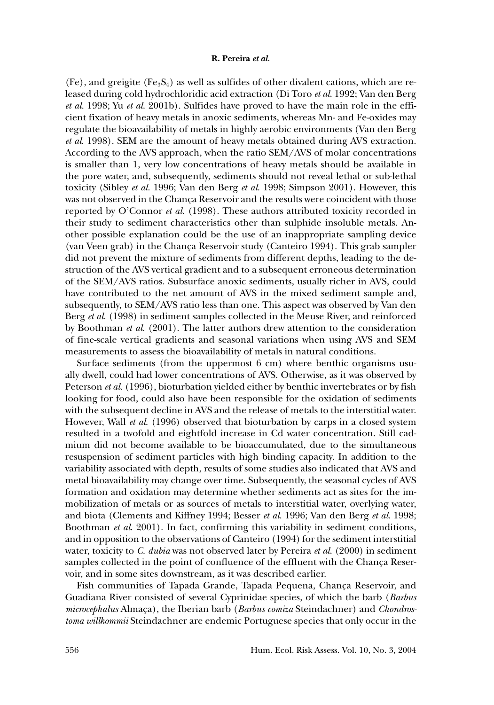(Fe), and greigite (Fe<sub>3</sub>S<sub>4</sub>) as well as sulfides of other divalent cations, which are released during cold hydrochloridic acid extraction (Di Toro *et al*. 1992; Van den Berg *et al*. 1998; Yu *et al*. 2001b). Sulfides have proved to have the main role in the efficient fixation of heavy metals in anoxic sediments, whereas Mn- and Fe-oxides may regulate the bioavailability of metals in highly aerobic environments (Van den Berg *et al*. 1998). SEM are the amount of heavy metals obtained during AVS extraction. According to the AVS approach, when the ratio SEM/AVS of molar concentrations is smaller than 1, very low concentrations of heavy metals should be available in the pore water, and, subsequently, sediments should not reveal lethal or sub-lethal toxicity (Sibley *et al*. 1996; Van den Berg *et al*. 1998; Simpson 2001). However, this was not observed in the Chança Reservoir and the results were coincident with those reported by O'Connor *et al.* (1998). These authors attributed toxicity recorded in their study to sediment characteristics other than sulphide insoluble metals. Another possible explanation could be the use of an inappropriate sampling device (van Veen grab) in the Chança Reservoir study (Canteiro 1994). This grab sampler did not prevent the mixture of sediments from different depths, leading to the destruction of the AVS vertical gradient and to a subsequent erroneous determination of the SEM/AVS ratios. Subsurface anoxic sediments, usually richer in AVS, could have contributed to the net amount of AVS in the mixed sediment sample and, subsequently, to SEM/AVS ratio less than one. This aspect was observed by Van den Berg *et al*. (1998) in sediment samples collected in the Meuse River, and reinforced by Boothman *et al*. (2001). The latter authors drew attention to the consideration of fine-scale vertical gradients and seasonal variations when using AVS and SEM measurements to assess the bioavailability of metals in natural conditions.

Surface sediments (from the uppermost 6 cm) where benthic organisms usually dwell, could had lower concentrations of AVS. Otherwise, as it was observed by Peterson *et al.* (1996), bioturbation yielded either by benthic invertebrates or by fish looking for food, could also have been responsible for the oxidation of sediments with the subsequent decline in AVS and the release of metals to the interstitial water. However, Wall *et al*. (1996) observed that bioturbation by carps in a closed system resulted in a twofold and eightfold increase in Cd water concentration. Still cadmium did not become available to be bioaccumulated, due to the simultaneous resuspension of sediment particles with high binding capacity. In addition to the variability associated with depth, results of some studies also indicated that AVS and metal bioavailability may change over time. Subsequently, the seasonal cycles of AVS formation and oxidation may determine whether sediments act as sites for the immobilization of metals or as sources of metals to interstitial water, overlying water, and biota (Clements and Kiffney 1994; Besser *et al*. 1996; Van den Berg *et al*. 1998; Boothman *et al*. 2001). In fact, confirming this variability in sediment conditions, and in opposition to the observations of Canteiro (1994) for the sediment interstitial water, toxicity to *C. dubia* was not observed later by Pereira *et al*. (2000) in sediment samples collected in the point of confluence of the effluent with the Chança Reservoir, and in some sites downstream, as it was described earlier.

Fish communities of Tapada Grande, Tapada Pequena, Chança Reservoir, and Guadiana River consisted of several Cyprinidae species, of which the barb (*Barbus*  $microcephalus Almaça),$  the Iberian barb (*Barbus comiza* Steindachner) and *Chondrostoma willkommii* Steindachner are endemic Portuguese species that only occur in the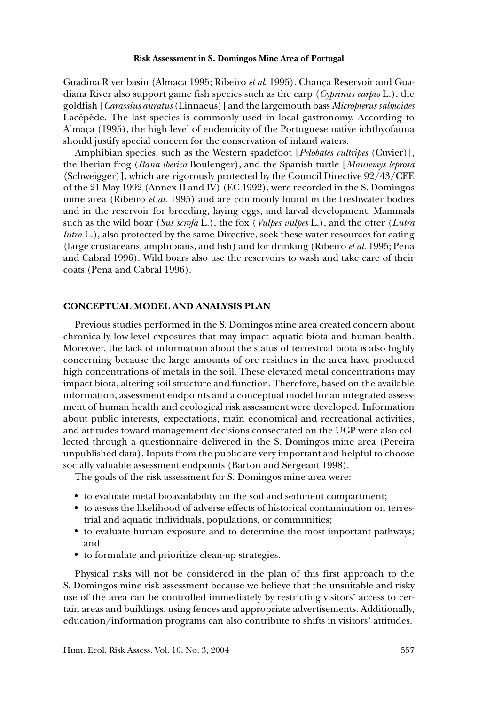Guadina River basin (Almaça 1995; Ribeiro *et al.* 1995). Chança Reservoir and Guadiana River also support game fish species such as the carp (*Cyprinus carpio* L.), the goldfish [*Carassius auratus* (Linnaeus)] and the largemouth bass *Micropterus salmoides* Lacépède. The last species is commonly used in local gastronomy. According to Almaça (1995), the high level of endemicity of the Portuguese native ichthyofauna should justify special concern for the conservation of inland waters.

Amphibian species, such as the Western spadefoot [*Pelobates cultripes* (Cuvier)], the Iberian frog (*Rana iberica* Boulenger), and the Spanish turtle [*Mauremys leprosa* (Schweigger)], which are rigorously protected by the Council Directive 92/43/CEE of the 21 May 1992 (Annex II and IV) (EC 1992), were recorded in the S. Domingos mine area (Ribeiro *et al*. 1995) and are commonly found in the freshwater bodies and in the reservoir for breeding, laying eggs, and larval development. Mammals such as the wild boar (*Sus scrofa* L.), the fox (*Vulpes vulpes* L.), and the otter (*Lutra lutra* L.), also protected by the same Directive, seek these water resources for eating (large crustaceans, amphibians, and fish) and for drinking (Ribeiro *et al*. 1995; Pena and Cabral 1996). Wild boars also use the reservoirs to wash and take care of their coats (Pena and Cabral 1996).

# **CONCEPTUAL MODEL AND ANALYSIS PLAN**

Previous studies performed in the S. Domingos mine area created concern about chronically low-level exposures that may impact aquatic biota and human health. Moreover, the lack of information about the status of terrestrial biota is also highly concerning because the large amounts of ore residues in the area have produced high concentrations of metals in the soil. These elevated metal concentrations may impact biota, altering soil structure and function. Therefore, based on the available information, assessment endpoints and a conceptual model for an integrated assessment of human health and ecological risk assessment were developed. Information about public interests, expectations, main economical and recreational activities, and attitudes toward management decisions consecrated on the UGP were also collected through a questionnaire delivered in the S. Domingos mine area (Pereira unpublished data). Inputs from the public are very important and helpful to choose socially valuable assessment endpoints (Barton and Sergeant 1998).

The goals of the risk assessment for S. Domingos mine area were:

- to evaluate metal bioavailability on the soil and sediment compartment;
- to assess the likelihood of adverse effects of historical contamination on terrestrial and aquatic individuals, populations, or communities;
- to evaluate human exposure and to determine the most important pathways; and
- to formulate and prioritize clean-up strategies.

Physical risks will not be considered in the plan of this first approach to the S. Domingos mine risk assessment because we believe that the unsuitable and risky use of the area can be controlled immediately by restricting visitors' access to certain areas and buildings, using fences and appropriate advertisements. Additionally, education/information programs can also contribute to shifts in visitors' attitudes.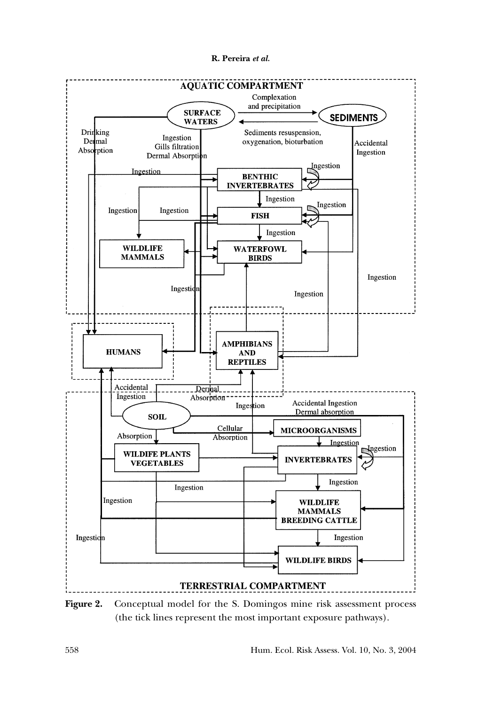**R. Pereira** *et al.*



**Figure 2.** Conceptual model for the S. Domingos mine risk assessment process (the tick lines represent the most important exposure pathways).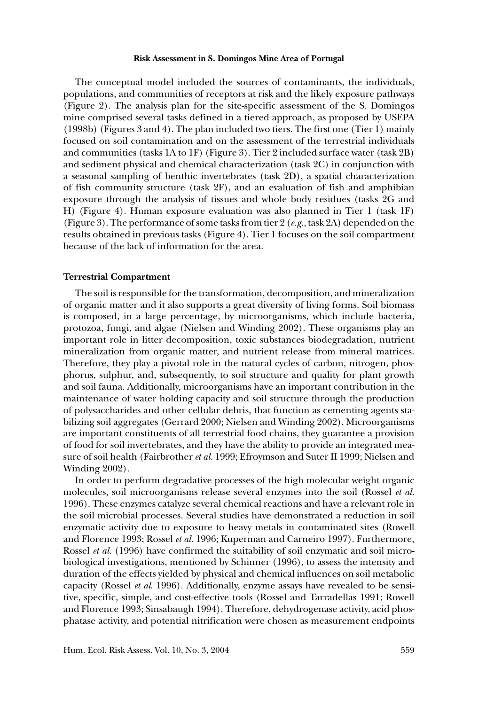The conceptual model included the sources of contaminants, the individuals, populations, and communities of receptors at risk and the likely exposure pathways (Figure 2). The analysis plan for the site-specific assessment of the S. Domingos mine comprised several tasks defined in a tiered approach, as proposed by USEPA (1998b) (Figures 3 and 4). The plan included two tiers. The first one (Tier 1) mainly focused on soil contamination and on the assessment of the terrestrial individuals and communities (tasks 1A to 1F) (Figure 3). Tier 2 included surface water (task 2B) and sediment physical and chemical characterization (task 2C) in conjunction with a seasonal sampling of benthic invertebrates (task 2D), a spatial characterization of fish community structure (task 2F), and an evaluation of fish and amphibian exposure through the analysis of tissues and whole body residues (tasks 2G and H) (Figure 4). Human exposure evaluation was also planned in Tier 1 (task 1F) (Figure 3). The performance of some tasks from tier 2 (*e.g.*, task 2A) depended on the results obtained in previous tasks (Figure 4). Tier 1 focuses on the soil compartment because of the lack of information for the area.

### **Terrestrial Compartment**

The soil is responsible for the transformation, decomposition, and mineralization of organic matter and it also supports a great diversity of living forms. Soil biomass is composed, in a large percentage, by microorganisms, which include bacteria, protozoa, fungi, and algae (Nielsen and Winding 2002). These organisms play an important role in litter decomposition, toxic substances biodegradation, nutrient mineralization from organic matter, and nutrient release from mineral matrices. Therefore, they play a pivotal role in the natural cycles of carbon, nitrogen, phosphorus, sulphur, and, subsequently, to soil structure and quality for plant growth and soil fauna. Additionally, microorganisms have an important contribution in the maintenance of water holding capacity and soil structure through the production of polysaccharides and other cellular debris, that function as cementing agents stabilizing soil aggregates (Gerrard 2000; Nielsen and Winding 2002). Microorganisms are important constituents of all terrestrial food chains, they guarantee a provision of food for soil invertebrates, and they have the ability to provide an integrated measure of soil health (Fairbrother *et al.* 1999; Efroymson and Suter II 1999; Nielsen and Winding 2002).

In order to perform degradative processes of the high molecular weight organic molecules, soil microorganisms release several enzymes into the soil (Rossel *et al*. 1996). These enzymes catalyze several chemical reactions and have a relevant role in the soil microbial processes. Several studies have demonstrated a reduction in soil enzymatic activity due to exposure to heavy metals in contaminated sites (Rowell and Florence 1993; Rossel *et al*. 1996; Kuperman and Carneiro 1997). Furthermore, Rossel *et al*. (1996) have confirmed the suitability of soil enzymatic and soil microbiological investigations, mentioned by Schinner (1996), to assess the intensity and duration of the effects yielded by physical and chemical influences on soil metabolic capacity (Rossel *et al*. 1996). Additionally, enzyme assays have revealed to be sensitive, specific, simple, and cost-effective tools (Rossel and Tarradellas 1991; Rowell and Florence 1993; Sinsabaugh 1994). Therefore, dehydrogenase activity, acid phosphatase activity, and potential nitrification were chosen as measurement endpoints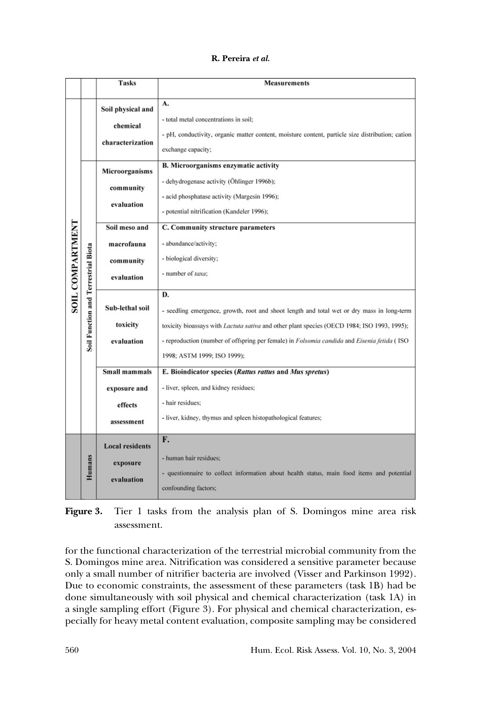|                         |                                     | <b>Tasks</b>                                                  | <b>Measurements</b>                                                                                                                                                                                                                                                                                                                                |  |  |
|-------------------------|-------------------------------------|---------------------------------------------------------------|----------------------------------------------------------------------------------------------------------------------------------------------------------------------------------------------------------------------------------------------------------------------------------------------------------------------------------------------------|--|--|
|                         |                                     | Soil physical and<br>chemical<br>characterization             | A.<br>- total metal concentrations in soil;<br>- pH, conductivity, organic matter content, moisture content, particle size distribution; cation<br>exchange capacity:                                                                                                                                                                              |  |  |
|                         |                                     | <b>Microorganisms</b><br>community<br>evaluation              | B. Microorganisms enzymatic activity<br>- dehydrogenase activity (Öhlinger 1996b);<br>- acid phosphatase activity (Margesin 1996);<br>- potential nitrification (Kandeler 1996);                                                                                                                                                                   |  |  |
| <b>SOIL COMPARTMENT</b> |                                     | Soil meso and<br>macrofauna<br>community<br>evaluation        | C. Community structure parameters<br>- abundance/activity;<br>- biological diversity;<br>- number of taxa;                                                                                                                                                                                                                                         |  |  |
|                         | Soil Function and Terrestrial Biota | Sub-lethal soil<br>toxicity<br>evaluation                     | D.<br>- seedling emergence, growth, root and shoot length and total wet or dry mass in long-term<br>toxicity bioassays with <i>Lactuta sativa</i> and other plant species (OECD 1984; ISO 1993, 1995);<br>- reproduction (number of offspring per female) in <i>Folsomia candida</i> and <i>Eisenia fetida</i> (ISO<br>1998; ASTM 1999; ISO 1999); |  |  |
|                         |                                     | <b>Small mammals</b><br>exposure and<br>effects<br>assessment | E. Bioindicator species (Rattus rattus and Mus spretus)<br>- liver, spleen, and kidney residues;<br>- hair residues:<br>- liver, kidney, thymus and spleen histopathological features;                                                                                                                                                             |  |  |
|                         | Humans                              | <b>Local residents</b><br>exposure<br>evaluation              | F.<br>- human hair residues;<br>- questionnaire to collect information about health status, main food items and potential<br>confounding factors;                                                                                                                                                                                                  |  |  |

**Figure 3.** Tier 1 tasks from the analysis plan of S. Domingos mine area risk assessment.

for the functional characterization of the terrestrial microbial community from the S. Domingos mine area. Nitrification was considered a sensitive parameter because only a small number of nitrifier bacteria are involved (Visser and Parkinson 1992). Due to economic constraints, the assessment of these parameters (task 1B) had be done simultaneously with soil physical and chemical characterization (task 1A) in a single sampling effort (Figure 3). For physical and chemical characterization, especially for heavy metal content evaluation, composite sampling may be considered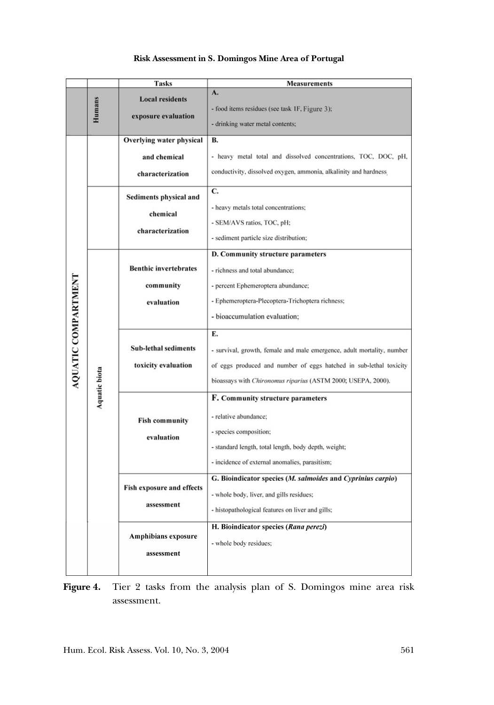|                     |               | <b>Tasks</b>                                  | <b>Measurements</b>                                                                      |  |  |
|---------------------|---------------|-----------------------------------------------|------------------------------------------------------------------------------------------|--|--|
|                     | Humans        | <b>Local residents</b><br>exposure evaluation | A.<br>- food items residues (see task 1F, Figure 3);<br>- drinking water metal contents; |  |  |
|                     |               | Overlying water physical                      | В.                                                                                       |  |  |
|                     |               |                                               |                                                                                          |  |  |
|                     |               | and chemical                                  | - heavy metal total and dissolved concentrations, TOC, DOC, pH,                          |  |  |
|                     |               | characterization                              | conductivity, dissolved oxygen, ammonia, alkalinity and hardness.                        |  |  |
|                     |               | Sediments physical and                        | C.                                                                                       |  |  |
|                     |               | chemical                                      | - heavy metals total concentrations;                                                     |  |  |
|                     |               |                                               | - SEM/AVS ratios, TOC, pH;                                                               |  |  |
|                     |               | characterization                              | - sediment particle size distribution;                                                   |  |  |
|                     |               |                                               | D. Community structure parameters                                                        |  |  |
|                     |               | <b>Benthic invertebrates</b>                  | - richness and total abundance;                                                          |  |  |
|                     |               | community                                     | - percent Ephemeroptera abundance;                                                       |  |  |
| AQUATIC COMPARTMENT |               | evaluation                                    | - Ephemeroptera-Plecoptera-Trichoptera richness;                                         |  |  |
|                     |               |                                               | - bioaccumulation evaluation;                                                            |  |  |
|                     |               |                                               | E.                                                                                       |  |  |
|                     | Aquatic biota | <b>Sub-lethal sediments</b>                   | - survival, growth, female and male emergence, adult mortality, number                   |  |  |
|                     |               | toxicity evaluation                           | of eggs produced and number of eggs hatched in sub-lethal toxicity                       |  |  |
|                     |               |                                               | bioassays with Chironomus riparius (ASTM 2000; USEPA, 2000).                             |  |  |
|                     |               |                                               | F. Community structure parameters                                                        |  |  |
|                     |               | <b>Fish community</b>                         | - relative abundance;                                                                    |  |  |
|                     |               | evaluation                                    | - species composition;                                                                   |  |  |
|                     |               |                                               | - standard length, total length, body depth, weight;                                     |  |  |
|                     |               |                                               | - incidence of external anomalies, parasitism;                                           |  |  |
|                     |               |                                               | G. Bioindicator species (M. salmoides and Cyprinius carpio)                              |  |  |
|                     |               | Fish exposure and effects                     | - whole body, liver, and gills residues;                                                 |  |  |
|                     |               | assessment                                    | - histopathological features on liver and gills;                                         |  |  |
|                     |               |                                               | H. Bioindicator species (Rana perezi)                                                    |  |  |
|                     |               | Amphibians exposure                           | - whole body residues;                                                                   |  |  |
|                     |               | assessment                                    |                                                                                          |  |  |
|                     |               |                                               |                                                                                          |  |  |

**Figure 4.** Tier 2 tasks from the analysis plan of S. Domingos mine area risk assessment.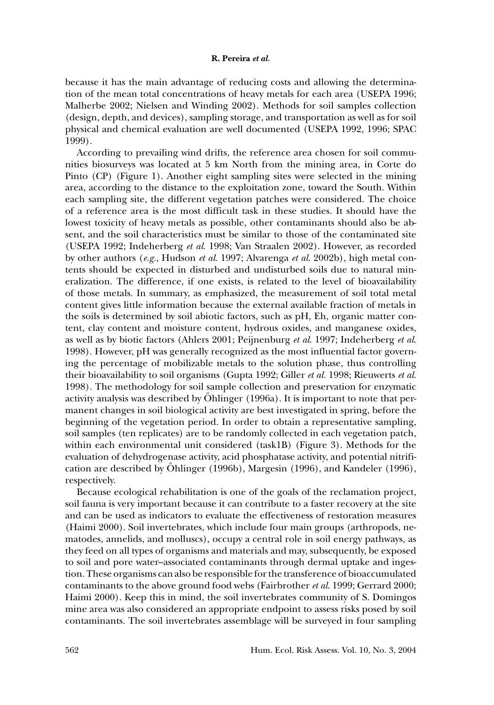because it has the main advantage of reducing costs and allowing the determination of the mean total concentrations of heavy metals for each area (USEPA 1996; Malherbe 2002; Nielsen and Winding 2002). Methods for soil samples collection (design, depth, and devices), sampling storage, and transportation as well as for soil physical and chemical evaluation are well documented (USEPA 1992, 1996; SPAC 1999).

According to prevailing wind drifts, the reference area chosen for soil communities biosurveys was located at 5 km North from the mining area, in Corte do Pinto (CP) (Figure 1). Another eight sampling sites were selected in the mining area, according to the distance to the exploitation zone, toward the South. Within each sampling site, the different vegetation patches were considered. The choice of a reference area is the most difficult task in these studies. It should have the lowest toxicity of heavy metals as possible, other contaminants should also be absent, and the soil characteristics must be similar to those of the contaminated site (USEPA 1992; Indeherberg *et al*. 1998; Van Straalen 2002). However, as recorded by other authors (*e.g.*, Hudson *et al*. 1997; Alvarenga *et al*. 2002b), high metal contents should be expected in disturbed and undisturbed soils due to natural mineralization. The difference, if one exists, is related to the level of bioavailability of those metals. In summary, as emphasized, the measurement of soil total metal content gives little information because the external available fraction of metals in the soils is determined by soil abiotic factors, such as pH, Eh, organic matter content, clay content and moisture content, hydrous oxides, and manganese oxides, as well as by biotic factors (Ahlers 2001; Peijnenburg *et al*. 1997; Indeherberg *et al*. 1998). However, pH was generally recognized as the most influential factor governing the percentage of mobilizable metals to the solution phase, thus controlling their bioavailability to soil organisms (Gupta 1992; Giller *et al.* 1998; Rieuwerts *et al*. 1998). The methodology for soil sample collection and preservation for enzymatic activity analysis was described by  $\ddot{\text{Ohlinger}}$  (1996a). It is important to note that permanent changes in soil biological activity are best investigated in spring, before the beginning of the vegetation period. In order to obtain a representative sampling, soil samples (ten replicates) are to be randomly collected in each vegetation patch, within each environmental unit considered (task1B) (Figure 3). Methods for the evaluation of dehydrogenase activity, acid phosphatase activity, and potential nitrification are described by Öhlinger  $(1996b)$ , Margesin  $(1996)$ , and Kandeler  $(1996)$ , respectively.

Because ecological rehabilitation is one of the goals of the reclamation project, soil fauna is very important because it can contribute to a faster recovery at the site and can be used as indicators to evaluate the effectiveness of restoration measures (Haimi 2000). Soil invertebrates, which include four main groups (arthropods, nematodes, annelids, and molluscs), occupy a central role in soil energy pathways, as they feed on all types of organisms and materials and may, subsequently, be exposed to soil and pore water–associated contaminants through dermal uptake and ingestion. These organisms can also be responsible for the transference of bioaccumulated contaminants to the above ground food webs (Fairbrother *et al*. 1999; Gerrard 2000; Haimi 2000). Keep this in mind, the soil invertebrates community of S. Domingos mine area was also considered an appropriate endpoint to assess risks posed by soil contaminants. The soil invertebrates assemblage will be surveyed in four sampling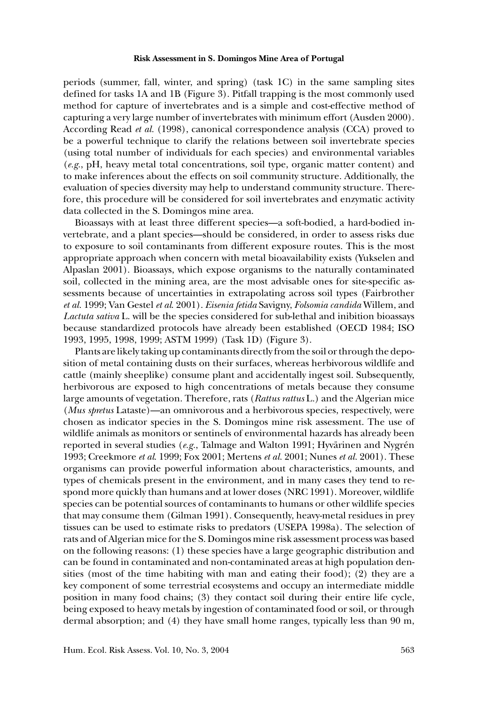periods (summer, fall, winter, and spring) (task 1C) in the same sampling sites defined for tasks 1A and 1B (Figure 3). Pitfall trapping is the most commonly used method for capture of invertebrates and is a simple and cost-effective method of capturing a very large number of invertebrates with minimum effort (Ausden 2000). According Read *et al.* (1998), canonical correspondence analysis (CCA) proved to be a powerful technique to clarify the relations between soil invertebrate species (using total number of individuals for each species) and environmental variables (*e.g.*, pH, heavy metal total concentrations, soil type, organic matter content) and to make inferences about the effects on soil community structure. Additionally, the evaluation of species diversity may help to understand community structure. Therefore, this procedure will be considered for soil invertebrates and enzymatic activity data collected in the S. Domingos mine area.

Bioassays with at least three different species—a soft-bodied, a hard-bodied invertebrate, and a plant species—should be considered, in order to assess risks due to exposure to soil contaminants from different exposure routes. This is the most appropriate approach when concern with metal bioavailability exists (Yukselen and Alpaslan 2001). Bioassays, which expose organisms to the naturally contaminated soil, collected in the mining area, are the most advisable ones for site-specific assessments because of uncertainties in extrapolating across soil types (Fairbrother *et al.* 1999; Van Gestel *et al*. 2001). *Eisenia fetida* Savigny, *Folsomia candida* Willem, and *Lactuta sativa* L. will be the species considered for sub-lethal and inibition bioassays because standardized protocols have already been established (OECD 1984; ISO 1993, 1995, 1998, 1999; ASTM 1999) (Task 1D) (Figure 3).

Plants are likely taking up contaminants directly from the soil or through the deposition of metal containing dusts on their surfaces, whereas herbivorous wildlife and cattle (mainly sheeplike) consume plant and accidentally ingest soil. Subsequently, herbivorous are exposed to high concentrations of metals because they consume large amounts of vegetation. Therefore, rats (*Rattus rattus* L.) and the Algerian mice (*Mus spretus* Lataste)—an omnivorous and a herbivorous species, respectively, were chosen as indicator species in the S. Domingos mine risk assessment. The use of wildlife animals as monitors or sentinels of environmental hazards has already been reported in several studies  $(e.g.,$  Talmage and Walton 1991; Hyvärinen and Nygrén 1993; Creekmore *et al*. 1999; Fox 2001; Mertens *et al.* 2001; Nunes *et al.* 2001). These organisms can provide powerful information about characteristics, amounts, and types of chemicals present in the environment, and in many cases they tend to respond more quickly than humans and at lower doses (NRC 1991). Moreover, wildlife species can be potential sources of contaminants to humans or other wildlife species that may consume them (Gilman 1991). Consequently, heavy-metal residues in prey tissues can be used to estimate risks to predators (USEPA 1998a). The selection of rats and of Algerian mice for the S. Domingos mine risk assessment process was based on the following reasons: (1) these species have a large geographic distribution and can be found in contaminated and non-contaminated areas at high population densities (most of the time habiting with man and eating their food); (2) they are a key component of some terrestrial ecosystems and occupy an intermediate middle position in many food chains; (3) they contact soil during their entire life cycle, being exposed to heavy metals by ingestion of contaminated food or soil, or through dermal absorption; and (4) they have small home ranges, typically less than 90 m,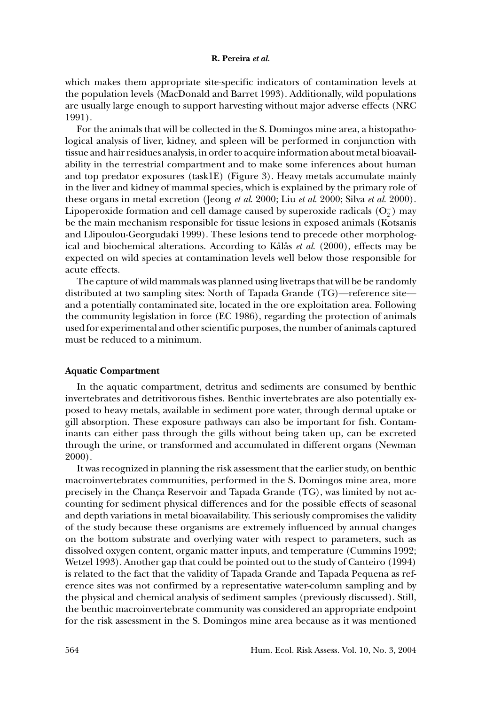which makes them appropriate site-specific indicators of contamination levels at the population levels (MacDonald and Barret 1993). Additionally, wild populations are usually large enough to support harvesting without major adverse effects (NRC 1991).

For the animals that will be collected in the S. Domingos mine area, a histopathological analysis of liver, kidney, and spleen will be performed in conjunction with tissue and hair residues analysis, in order to acquire information about metal bioavailability in the terrestrial compartment and to make some inferences about human and top predator exposures (task1E) (Figure 3). Heavy metals accumulate mainly in the liver and kidney of mammal species, which is explained by the primary role of these organs in metal excretion (Jeong *et al*. 2000; Liu *et al*. 2000; Silva *et al*. 2000). Lipoperoxide formation and cell damage caused by superoxide radicals  $\mathrm{(O_{2}^{-})}$  may be the main mechanism responsible for tissue lesions in exposed animals (Kotsanis and Llipoulou-Georgudaki 1999). These lesions tend to precede other morphological and biochemical alterations. According to Kålås *et al.* (2000), effects may be expected on wild species at contamination levels well below those responsible for acute effects.

The capture of wild mammals was planned using livetraps that will be be randomly distributed at two sampling sites: North of Tapada Grande (TG)—reference site and a potentially contaminated site, located in the ore exploitation area. Following the community legislation in force (EC 1986), regarding the protection of animals used for experimental and other scientific purposes, the number of animals captured must be reduced to a minimum.

### **Aquatic Compartment**

In the aquatic compartment, detritus and sediments are consumed by benthic invertebrates and detritivorous fishes. Benthic invertebrates are also potentially exposed to heavy metals, available in sediment pore water, through dermal uptake or gill absorption. These exposure pathways can also be important for fish. Contaminants can either pass through the gills without being taken up, can be excreted through the urine, or transformed and accumulated in different organs (Newman 2000).

It was recognized in planning the risk assessment that the earlier study, on benthic macroinvertebrates communities, performed in the S. Domingos mine area, more precisely in the Chanca Reservoir and Tapada Grande (TG), was limited by not accounting for sediment physical differences and for the possible effects of seasonal and depth variations in metal bioavailability. This seriously compromises the validity of the study because these organisms are extremely influenced by annual changes on the bottom substrate and overlying water with respect to parameters, such as dissolved oxygen content, organic matter inputs, and temperature (Cummins 1992; Wetzel 1993). Another gap that could be pointed out to the study of Canteiro (1994) is related to the fact that the validity of Tapada Grande and Tapada Pequena as reference sites was not confirmed by a representative water-column sampling and by the physical and chemical analysis of sediment samples (previously discussed). Still, the benthic macroinvertebrate community was considered an appropriate endpoint for the risk assessment in the S. Domingos mine area because as it was mentioned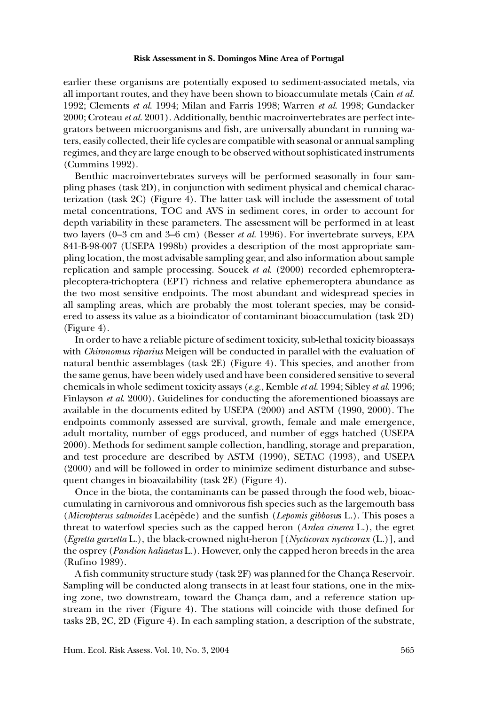earlier these organisms are potentially exposed to sediment-associated metals, via all important routes, and they have been shown to bioaccumulate metals (Cain *et al*. 1992; Clements *et al*. 1994; Milan and Farris 1998; Warren *et al*. 1998; Gundacker 2000; Croteau *et al*. 2001). Additionally, benthic macroinvertebrates are perfect integrators between microorganisms and fish, are universally abundant in running waters, easily collected, their life cycles are compatible with seasonal or annual sampling regimes, and they are large enough to be observed without sophisticated instruments (Cummins 1992).

Benthic macroinvertebrates surveys will be performed seasonally in four sampling phases (task 2D), in conjunction with sediment physical and chemical characterization (task 2C) (Figure 4). The latter task will include the assessment of total metal concentrations, TOC and AVS in sediment cores, in order to account for depth variability in these parameters. The assessment will be performed in at least two layers (0–3 cm and 3–6 cm) (Besser *et al*. 1996). For invertebrate surveys, EPA 841-B-98-007 (USEPA 1998b) provides a description of the most appropriate sampling location, the most advisable sampling gear, and also information about sample replication and sample processing. Soucek *et al*. (2000) recorded ephemropteraplecoptera-trichoptera (EPT) richness and relative ephemeroptera abundance as the two most sensitive endpoints. The most abundant and widespread species in all sampling areas, which are probably the most tolerant species, may be considered to assess its value as a bioindicator of contaminant bioaccumulation (task 2D) (Figure 4).

In order to have a reliable picture of sediment toxicity, sub-lethal toxicity bioassays with *Chironomus riparius* Meigen will be conducted in parallel with the evaluation of natural benthic assemblages (task 2E) (Figure 4). This species, and another from the same genus, have been widely used and have been considered sensitive to several chemicals in whole sediment toxicity assays (*e.g.*, Kemble *et al*. 1994; Sibley *et al*. 1996; Finlayson *et al*. 2000). Guidelines for conducting the aforementioned bioassays are available in the documents edited by USEPA (2000) and ASTM (1990, 2000). The endpoints commonly assessed are survival, growth, female and male emergence, adult mortality, number of eggs produced, and number of eggs hatched (USEPA 2000). Methods for sediment sample collection, handling, storage and preparation, and test procedure are described by ASTM (1990), SETAC (1993), and USEPA (2000) and will be followed in order to minimize sediment disturbance and subsequent changes in bioavailability (task 2E) (Figure 4).

Once in the biota, the contaminants can be passed through the food web, bioaccumulating in carnivorous and omnivorous fish species such as the largemouth bass (*Micropterus salmoides* Lacépède) and the sunfish (*Lepomis gibbosus L.*). This poses a threat to waterfowl species such as the capped heron (*Ardea cinerea* L.), the egret (*Egretta garzetta* L.), the black-crowned night-heron [(*Nycticorax nycticorax* (L.)], and the osprey (*Pandion haliaetus* L.). However, only the capped heron breeds in the area (Rufino 1989).

A fish community structure study (task 2F) was planned for the Chança Reservoir. Sampling will be conducted along transects in at least four stations, one in the mixing zone, two downstream, toward the Chança dam, and a reference station upstream in the river (Figure 4). The stations will coincide with those defined for tasks 2B, 2C, 2D (Figure 4). In each sampling station, a description of the substrate,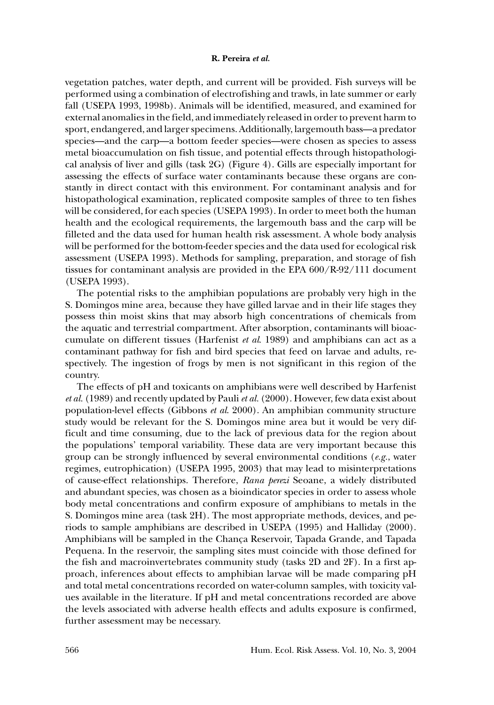vegetation patches, water depth, and current will be provided. Fish surveys will be performed using a combination of electrofishing and trawls, in late summer or early fall (USEPA 1993, 1998b). Animals will be identified, measured, and examined for external anomalies in the field, and immediately released in order to prevent harm to sport, endangered, and larger specimens. Additionally, largemouth bass—a predator species—and the carp—a bottom feeder species—were chosen as species to assess metal bioaccumulation on fish tissue, and potential effects through histopathological analysis of liver and gills (task 2G) (Figure 4). Gills are especially important for assessing the effects of surface water contaminants because these organs are constantly in direct contact with this environment. For contaminant analysis and for histopathological examination, replicated composite samples of three to ten fishes will be considered, for each species (USEPA 1993). In order to meet both the human health and the ecological requirements, the largemouth bass and the carp will be filleted and the data used for human health risk assessment. A whole body analysis will be performed for the bottom-feeder species and the data used for ecological risk assessment (USEPA 1993). Methods for sampling, preparation, and storage of fish tissues for contaminant analysis are provided in the EPA 600/R-92/111 document (USEPA 1993).

The potential risks to the amphibian populations are probably very high in the S. Domingos mine area, because they have gilled larvae and in their life stages they possess thin moist skins that may absorb high concentrations of chemicals from the aquatic and terrestrial compartment. After absorption, contaminants will bioaccumulate on different tissues (Harfenist *et al*. 1989) and amphibians can act as a contaminant pathway for fish and bird species that feed on larvae and adults, respectively. The ingestion of frogs by men is not significant in this region of the country.

The effects of pH and toxicants on amphibians were well described by Harfenist *et al.* (1989) and recently updated by Pauli *et al.* (2000). However, few data exist about population-level effects (Gibbons *et al*. 2000). An amphibian community structure study would be relevant for the S. Domingos mine area but it would be very difficult and time consuming, due to the lack of previous data for the region about the populations' temporal variability. These data are very important because this group can be strongly influenced by several environmental conditions (*e.g.*, water regimes, eutrophication) (USEPA 1995, 2003) that may lead to misinterpretations of cause-effect relationships. Therefore, *Rana perezi* Seoane, a widely distributed and abundant species, was chosen as a bioindicator species in order to assess whole body metal concentrations and confirm exposure of amphibians to metals in the S. Domingos mine area (task 2H). The most appropriate methods, devices, and periods to sample amphibians are described in USEPA (1995) and Halliday (2000). Amphibians will be sampled in the Chança Reservoir, Tapada Grande, and Tapada Pequena. In the reservoir, the sampling sites must coincide with those defined for the fish and macroinvertebrates community study (tasks 2D and 2F). In a first approach, inferences about effects to amphibian larvae will be made comparing pH and total metal concentrations recorded on water-column samples, with toxicity values available in the literature. If pH and metal concentrations recorded are above the levels associated with adverse health effects and adults exposure is confirmed, further assessment may be necessary.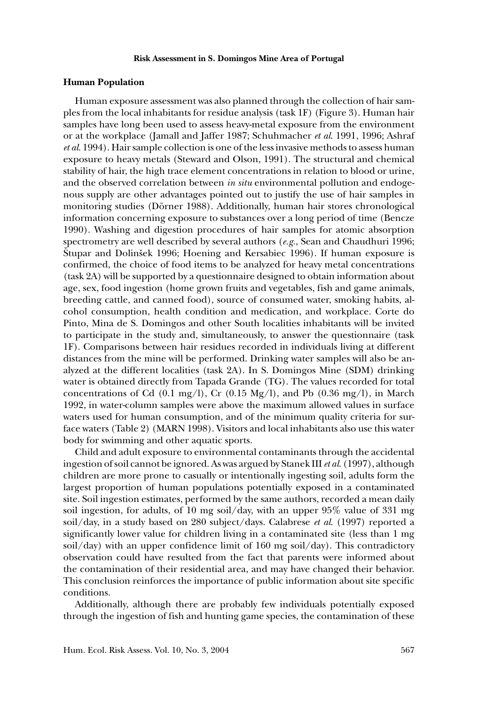### **Human Population**

Human exposure assessment was also planned through the collection of hair samples from the local inhabitants for residue analysis (task 1F) (Figure 3). Human hair samples have long been used to assess heavy-metal exposure from the environment or at the workplace (Jamall and Jaffer 1987; Schuhmacher *et al*. 1991, 1996; Ashraf *et al*. 1994). Hair sample collection is one of the less invasive methods to assess human exposure to heavy metals (Steward and Olson, 1991). The structural and chemical stability of hair, the high trace element concentrations in relation to blood or urine, and the observed correlation between *in situ* environmental pollution and endogenous supply are other advantages pointed out to justify the use of hair samples in monitoring studies (Dörner 1988). Additionally, human hair stores chronological information concerning exposure to substances over a long period of time (Bencze 1990). Washing and digestion procedures of hair samples for atomic absorption spectrometry are well described by several authors (*e.g.*, Sean and Chaudhuri 1996; Stupar and Dolinšek 1996; Hoening and Kersabiec 1996). If human exposure is confirmed, the choice of food items to be analyzed for heavy metal concentrations (task 2A) will be supported by a questionnaire designed to obtain information about age, sex, food ingestion (home grown fruits and vegetables, fish and game animals, breeding cattle, and canned food), source of consumed water, smoking habits, alcohol consumption, health condition and medication, and workplace. Corte do Pinto, Mina de S. Domingos and other South localities inhabitants will be invited to participate in the study and, simultaneously, to answer the questionnaire (task 1F). Comparisons between hair residues recorded in individuals living at different distances from the mine will be performed. Drinking water samples will also be analyzed at the different localities (task 2A). In S. Domingos Mine (SDM) drinking water is obtained directly from Tapada Grande (TG). The values recorded for total concentrations of Cd  $(0.1 \text{ mg/l})$ , Cr  $(0.15 \text{ Mg/l})$ , and Pb  $(0.36 \text{ mg/l})$ , in March 1992, in water-column samples were above the maximum allowed values in surface waters used for human consumption, and of the minimum quality criteria for surface waters (Table 2) (MARN 1998). Visitors and local inhabitants also use this water body for swimming and other aquatic sports.

Child and adult exposure to environmental contaminants through the accidental ingestion of soil cannot be ignored. As was argued by Stanek III*et al*. (1997), although children are more prone to casually or intentionally ingesting soil, adults form the largest proportion of human populations potentially exposed in a contaminated site. Soil ingestion estimates, performed by the same authors, recorded a mean daily soil ingestion, for adults, of 10 mg soil/day, with an upper 95% value of 331 mg soil/day, in a study based on 280 subject/days. Calabrese *et al*. (1997) reported a significantly lower value for children living in a contaminated site (less than 1 mg soil/day) with an upper confidence limit of  $160 \text{ mg}$  soil/day). This contradictory observation could have resulted from the fact that parents were informed about the contamination of their residential area, and may have changed their behavior. This conclusion reinforces the importance of public information about site specific conditions.

Additionally, although there are probably few individuals potentially exposed through the ingestion of fish and hunting game species, the contamination of these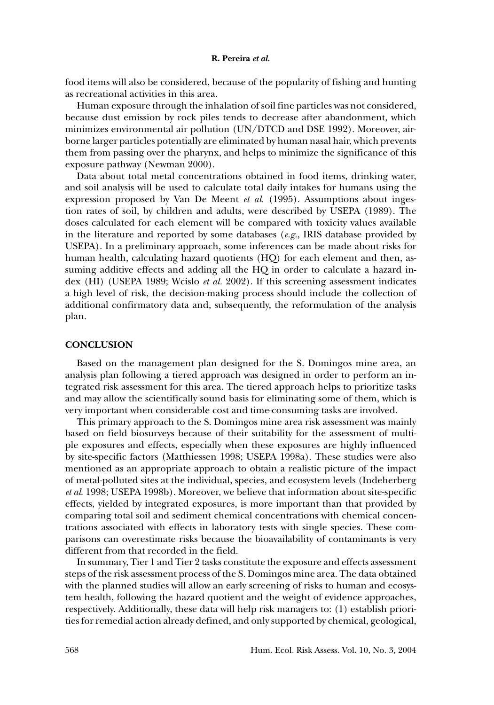food items will also be considered, because of the popularity of fishing and hunting as recreational activities in this area.

Human exposure through the inhalation of soil fine particles was not considered, because dust emission by rock piles tends to decrease after abandonment, which minimizes environmental air pollution (UN/DTCD and DSE 1992). Moreover, airborne larger particles potentially are eliminated by human nasal hair, which prevents them from passing over the pharynx, and helps to minimize the significance of this exposure pathway (Newman 2000).

Data about total metal concentrations obtained in food items, drinking water, and soil analysis will be used to calculate total daily intakes for humans using the expression proposed by Van De Meent *et al.* (1995). Assumptions about ingestion rates of soil, by children and adults, were described by USEPA (1989). The doses calculated for each element will be compared with toxicity values available in the literature and reported by some databases (*e.g.*, IRIS database provided by USEPA). In a preliminary approach, some inferences can be made about risks for human health, calculating hazard quotients (HQ) for each element and then, assuming additive effects and adding all the HQ in order to calculate a hazard index (HI) (USEPA 1989; Wcislo *et al.* 2002). If this screening assessment indicates a high level of risk, the decision-making process should include the collection of additional confirmatory data and, subsequently, the reformulation of the analysis plan.

# **CONCLUSION**

Based on the management plan designed for the S. Domingos mine area, an analysis plan following a tiered approach was designed in order to perform an integrated risk assessment for this area. The tiered approach helps to prioritize tasks and may allow the scientifically sound basis for eliminating some of them, which is very important when considerable cost and time-consuming tasks are involved.

This primary approach to the S. Domingos mine area risk assessment was mainly based on field biosurveys because of their suitability for the assessment of multiple exposures and effects, especially when these exposures are highly influenced by site-specific factors (Matthiessen 1998; USEPA 1998a). These studies were also mentioned as an appropriate approach to obtain a realistic picture of the impact of metal-polluted sites at the individual, species, and ecosystem levels (Indeherberg *et al*. 1998; USEPA 1998b). Moreover, we believe that information about site-specific effects, yielded by integrated exposures, is more important than that provided by comparing total soil and sediment chemical concentrations with chemical concentrations associated with effects in laboratory tests with single species. These comparisons can overestimate risks because the bioavailability of contaminants is very different from that recorded in the field.

In summary, Tier 1 and Tier 2 tasks constitute the exposure and effects assessment steps of the risk assessment process of the S. Domingos mine area. The data obtained with the planned studies will allow an early screening of risks to human and ecosystem health, following the hazard quotient and the weight of evidence approaches, respectively. Additionally, these data will help risk managers to: (1) establish priorities for remedial action already defined, and only supported by chemical, geological,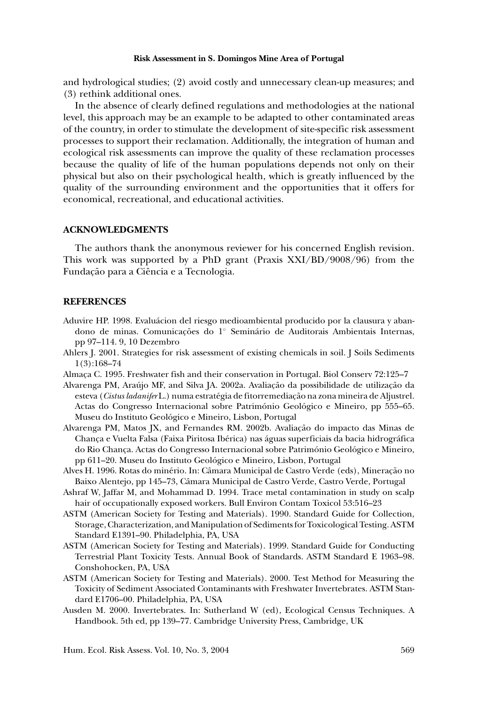and hydrological studies; (2) avoid costly and unnecessary clean-up measures; and (3) rethink additional ones.

In the absence of clearly defined regulations and methodologies at the national level, this approach may be an example to be adapted to other contaminated areas of the country, in order to stimulate the development of site-specific risk assessment processes to support their reclamation. Additionally, the integration of human and ecological risk assessments can improve the quality of these reclamation processes because the quality of life of the human populations depends not only on their physical but also on their psychological health, which is greatly influenced by the quality of the surrounding environment and the opportunities that it offers for economical, recreational, and educational activities.

### **ACKNOWLEDGMENTS**

The authors thank the anonymous reviewer for his concerned English revision. This work was supported by a PhD grant (Praxis XXI/BD/9008/96) from the Fundação para a Ciência e a Tecnologia.

# **REFERENCES**

- Aduvire HP. 1998. Evaluácion del riesgo medioambiental producido por la clausura y abandono de minas. Comunicações do 1<sup>°</sup> Seminário de Auditorais Ambientais Internas, pp 97–114. 9, 10 Dezembro
- Ahlers J. 2001. Strategies for risk assessment of existing chemicals in soil. J Soils Sediments 1(3):168–74
- Almaça C. 1995. Freshwater fish and their conservation in Portugal. Biol Conserv 72:125-7
- Alvarenga PM, Araújo MF, and Silva JA. 2002a. Avaliação da possibilidade de utilização da esteva (*Cistus ladanifer* L.) numa estratégia de fitorremediação na zona mineira de Aljustrel. Actas do Congresso Internacional sobre Património Geológico e Mineiro, pp 555-65. Museu do Instituto Geológico e Mineiro, Lisbon, Portugal
- Alvarenga PM, Matos JX, and Fernandes RM. 2002b. Avaliação do impacto das Minas de Chança e Vuelta Falsa (Faixa Piritosa Ibérica) nas águas superficiais da bacia hidrográfica do Rio Chança. Actas do Congresso Internacional sobre Património Geológico e Mineiro, pp 611–20. Museu do Instituto Geológico e Mineiro, Lisbon, Portugal
- Alves H. 1996. Rotas do minério. In: Câmara Municipal de Castro Verde (eds), Mineração no Baixo Alentejo, pp 145–73, Camara Municipal de Castro Verde, Castro Verde, Portugal ˆ
- Ashraf W, Jaffar M, and Mohammad D. 1994. Trace metal contamination in study on scalp hair of occupationally exposed workers. Bull Environ Contam Toxicol 53:516–23
- ASTM (American Society for Testing and Materials). 1990. Standard Guide for Collection, Storage, Characterization, and Manipulation of Sediments for Toxicological Testing. ASTM Standard E1391–90. Philadelphia, PA, USA
- ASTM (American Society for Testing and Materials). 1999. Standard Guide for Conducting Terrestrial Plant Toxicity Tests. Annual Book of Standards. ASTM Standard E 1963–98. Conshohocken, PA, USA
- ASTM (American Society for Testing and Materials). 2000. Test Method for Measuring the Toxicity of Sediment Associated Contaminants with Freshwater Invertebrates. ASTM Standard E1706–00. Philadelphia, PA, USA
- Ausden M. 2000. Invertebrates. In: Sutherland W (ed), Ecological Census Techniques. A Handbook. 5th ed, pp 139–77. Cambridge University Press, Cambridge, UK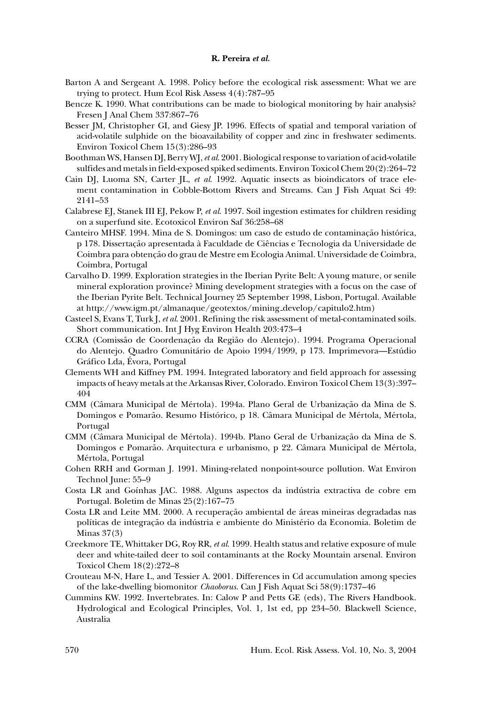- Barton A and Sergeant A. 1998. Policy before the ecological risk assessment: What we are trying to protect. Hum Ecol Risk Assess 4(4):787–95
- Bencze K. 1990. What contributions can be made to biological monitoring by hair analysis? Fresen J Anal Chem 337:867–76
- Besser JM, Christopher GI, and Giesy JP. 1996. Effects of spatial and temporal variation of acid-volatile sulphide on the bioavailability of copper and zinc in freshwater sediments. Environ Toxicol Chem 15(3):286–93
- Boothman WS, Hansen DJ, Berry WJ,*et al*. 2001. Biological response to variation of acid-volatile sulfides and metals in field-exposed spiked sediments. Environ Toxicol Chem 20(2):264–72
- Cain DJ, Luoma SN, Carter JL, *et al*. 1992. Aquatic insects as bioindicators of trace element contamination in Cobble-Bottom Rivers and Streams. Can J Fish Aquat Sci 49: 2141–53
- Calabrese EJ, Stanek III EJ, Pekow P, *et al*. 1997. Soil ingestion estimates for children residing on a superfund site. Ecotoxicol Environ Saf 36:258–68
- Canteiro MHSF. 1994. Mina de S. Domingos: um caso de estudo de contaminação histórica, p 178. Dissertação apresentada à Faculdade de Ciências e Tecnologia da Universidade de Coimbra para obtenção do grau de Mestre em Ecologia Animal. Universidade de Coimbra, Coimbra, Portugal
- Carvalho D. 1999. Exploration strategies in the Iberian Pyrite Belt: A young mature, or senile mineral exploration province? Mining development strategies with a focus on the case of the Iberian Pyrite Belt. Technical Journey 25 September 1998, Lisbon, Portugal. Available at http://www.igm.pt/almanaque/geotextos/mining develop/capitulo2.htm)
- Casteel S, Evans T, Turk J, *et al*. 2001. Refining the risk assessment of metal-contaminated soils. Short communication. Int J Hyg Environ Health 203:473–4
- CCRA (Comissão de Coordenação da Região do Alentejo). 1994. Programa Operacional do Alentejo. Quadro Comunitário de Apoio 1994/1999, p 173. Imprimevora-Estúdio Gráfico Lda, Évora, Portugal
- Clements WH and Kiffney PM. 1994. Integrated laboratory and field approach for assessing impacts of heavy metals at the Arkansas River, Colorado. Environ Toxicol Chem 13(3):397– 404
- CMM (Câmara Municipal de Mértola). 1994a. Plano Geral de Urbanização da Mina de S. Domingos e Pomarão. Resumo Histórico, p 18. Câmara Municipal de Mértola, Mértola, Portugal
- CMM (Câmara Municipal de Mértola). 1994b. Plano Geral de Urbanização da Mina de S. Domingos e Pomarão. Arquitectura e urbanismo, p 22. Câmara Municipal de Mértola, Mértola, Portugal
- Cohen RRH and Gorman J. 1991. Mining-related nonpoint-source pollution. Wat Environ Technol June: 55–9
- Costa LR and Goínhas JAC. 1988. Alguns aspectos da indústria extractiva de cobre em Portugal. Boletim de Minas 25(2):167–75
- Costa LR and Leite MM. 2000. A recuperação ambiental de áreas mineiras degradadas nas políticas de integração da indústria e ambiente do Ministério da Economia. Boletim de Minas 37(3)
- Creekmore TE, Whittaker DG, Roy RR, *et al*. 1999. Health status and relative exposure of mule deer and white-tailed deer to soil contaminants at the Rocky Mountain arsenal. Environ Toxicol Chem 18(2):272–8
- Crouteau M-N, Hare L, and Tessier A. 2001. Differences in Cd accumulation among species of the lake-dwelling biomonitor *Chaoborus*. Can J Fish Aquat Sci 58(9):1737–46
- Cummins KW. 1992. Invertebrates. In: Calow P and Petts GE (eds), The Rivers Handbook. Hydrological and Ecological Principles, Vol. 1, 1st ed, pp 234–50. Blackwell Science, Australia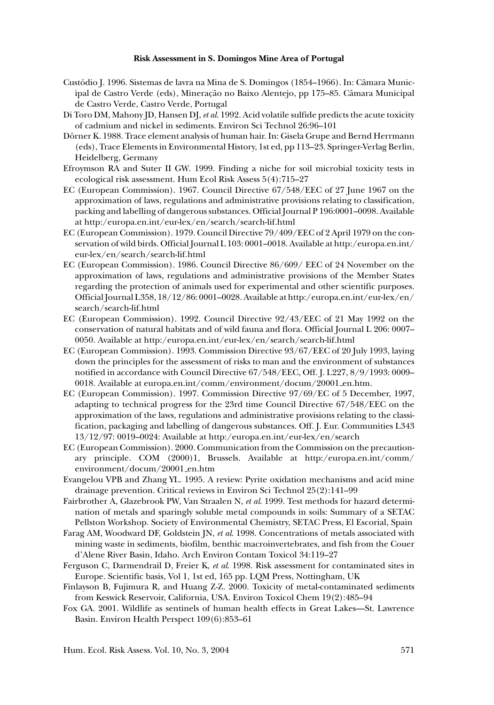- Custódio J. 1996. Sistemas de lavra na Mina de S. Domingos (1854–1966). In: Câmara Municipal de Castro Verde (eds), Mineração no Baixo Alentejo, pp 175–85. Câmara Municipal de Castro Verde, Castro Verde, Portugal
- Di Toro DM, Mahony JD, Hansen DJ, *et al*. 1992. Acid volatile sulfide predicts the acute toxicity of cadmium and nickel in sediments. Environ Sci Technol 26:96–101
- Dörner K. 1988. Trace element analysis of human hair. In: Gisela Grupe and Bernd Herrmann (eds), Trace Elements in Environmental History, 1st ed, pp 113–23. Springer-Verlag Berlin, Heidelberg, Germany
- Efroymson RA and Suter II GW. 1999. Finding a niche for soil microbial toxicity tests in ecological risk assessment. Hum Ecol Risk Assess 5(4):715–27
- EC (European Commission). 1967. Council Directive 67/548/EEC of 27 June 1967 on the approximation of laws, regulations and administrative provisions relating to classification, packing and labelling of dangerous substances. Official Journal P 196:0001–0098. Available at http:/europa.en.int/eur-lex/en/search/search-lif.html
- EC (European Commission). 1979. Council Directive 79/409/EEC of 2 April 1979 on the conservation of wild birds. Official Journal L 103: 0001–0018. Available at http:/europa.en.int/ eur-lex/en/search/search-lif.html
- EC (European Commission). 1986. Council Directive 86/609/ EEC of 24 November on the approximation of laws, regulations and administrative provisions of the Member States regarding the protection of animals used for experimental and other scientific purposes. Official Journal L358, 18/12/86: 0001–0028. Available at http:/europa.en.int/eur-lex/en/ search/search-lif.html
- EC (European Commission). 1992. Council Directive 92/43/EEC of 21 May 1992 on the conservation of natural habitats and of wild fauna and flora. Official Journal L 206: 0007– 0050. Available at http:/europa.en.int/eur-lex/en/search/search-lif.html
- EC (European Commission). 1993. Commission Directive 93/67/EEC of 20 July 1993, laying down the principles for the assessment of risks to man and the environment of substances notified in accordance with Council Directive 67/548/EEC, Off. J. L227, 8/9/1993: 0009– 0018. Available at europa.en.int/comm/environment/docum/20001 en.htm.
- EC (European Commission). 1997. Commission Directive 97/69/EC of 5 December, 1997, adapting to technical progress for the 23rd time Council Directive 67/548/EEC on the approximation of the laws, regulations and administrative provisions relating to the classification, packaging and labelling of dangerous substances. Off. J. Eur. Communities L343 13/12/97: 0019–0024: Available at http:/europa.en.int/eur-lex/en/search
- EC (European Commission). 2000. Communication from the Commission on the precautionary principle. COM (2000)1, Brussels. Available at http:/europa.en.int/comm/ environment/docum/20001 en.htm
- Evangelou VPB and Zhang YL. 1995. A review: Pyrite oxidation mechanisms and acid mine drainage prevention. Critical reviews in Environ Sci Technol 25(2):141–99
- Fairbrother A, Glazebrook PW, Van Straalen N, *et al*. 1999. Test methods for hazard determination of metals and sparingly soluble metal compounds in soils: Summary of a SETAC Pellston Workshop. Society of Environmental Chemistry, SETAC Press, El Escorial, Spain
- Farag AM, Woodward DF, Goldstein JN, *et al*. 1998. Concentrations of metals associated with mining waste in sediments, biofilm, benthic macroinvertebrates, and fish from the Couer d'Alene River Basin, Idaho. Arch Environ Contam Toxicol 34:119–27
- Ferguson C, Darmendrail D, Freier K, *et al*. 1998. Risk assessment for contaminated sites in Europe. Scientific basis, Vol 1, 1st ed, 165 pp. LQM Press, Nottingham, UK
- Finlayson B, Fujimura R, and Huang Z-Z. 2000. Toxicity of metal-contaminated sediments from Keswick Reservoir, California, USA. Environ Toxicol Chem 19(2):485–94
- Fox GA. 2001. Wildlife as sentinels of human health effects in Great Lakes—St. Lawrence Basin. Environ Health Perspect 109(6):853–61

Hum. Ecol. Risk Assess. Vol. 10, No. 3, 2004 571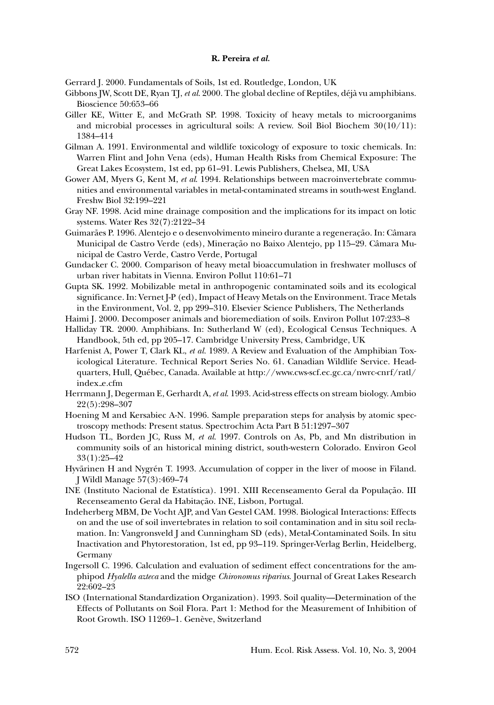Gerrard J. 2000. Fundamentals of Soils, 1st ed. Routledge, London, UK

- Gibbons JW, Scott DE, Ryan TJ, *et al.* 2000. The global decline of Reptiles, déjà vu amphibians. Bioscience 50:653–66
- Giller KE, Witter E, and McGrath SP. 1998. Toxicity of heavy metals to microorganims and microbial processes in agricultural soils: A review. Soil Biol Biochem 30(10/11): 1384–414
- Gilman A. 1991. Environmental and wildlife toxicology of exposure to toxic chemicals. In: Warren Flint and John Vena (eds), Human Health Risks from Chemical Exposure: The Great Lakes Ecosystem, 1st ed, pp 61–91. Lewis Publishers, Chelsea, MI, USA
- Gower AM, Myers G, Kent M, *et al*. 1994. Relationships between macroinvertebrate communities and environmental variables in metal-contaminated streams in south-west England. Freshw Biol 32:199–221
- Gray NF. 1998. Acid mine drainage composition and the implications for its impact on lotic systems. Water Res 32(7):2122–34
- Guimarães P. 1996. Alentejo e o desenvolvimento mineiro durante a regeneração. In: Câmara Municipal de Castro Verde (eds), Mineração no Baixo Alentejo, pp 115–29. Câmara Municipal de Castro Verde, Castro Verde, Portugal
- Gundacker C. 2000. Comparison of heavy metal bioaccumulation in freshwater molluscs of urban river habitats in Vienna. Environ Pollut 110:61–71
- Gupta SK. 1992. Mobilizable metal in anthropogenic contaminated soils and its ecological significance. In: Vernet J-P (ed), Impact of Heavy Metals on the Environment. Trace Metals in the Environment, Vol. 2, pp 299–310. Elsevier Science Publishers, The Netherlands
- Haimi J. 2000. Decomposer animals and bioremediation of soils. Environ Pollut 107:233–8
- Halliday TR. 2000. Amphibians. In: Sutherland W (ed), Ecological Census Techniques. A Handbook, 5th ed, pp 205–17. Cambridge University Press, Cambridge, UK
- Harfenist A, Power T, Clark KL, *et al.* 1989. A Review and Evaluation of the Amphibian Toxicological Literature. Technical Report Series No. 61. Canadian Wildlife Service. Headquarters, Hull, Québec, Canada. Available at http://www.cws-scf.ec.gc.ca/nwrc-cnrf/ratl/ index e.cfm
- Herrmann J, Degerman E, Gerhardt A, *et al*. 1993. Acid-stress effects on stream biology. Ambio 22(5):298–307
- Hoening M and Kersabiec A-N. 1996. Sample preparation steps for analysis by atomic spectroscopy methods: Present status. Spectrochim Acta Part B 51:1297–307
- Hudson TL, Borden JC, Russ M, *et al*. 1997. Controls on As, Pb, and Mn distribution in community soils of an historical mining district, south-western Colorado. Environ Geol 33(1):25–42
- Hyvärinen H and Nygrén T. 1993. Accumulation of copper in the liver of moose in Filand. J Wildl Manage 57(3):469–74
- INE (Instituto Nacional de Estatística). 1991. XIII Recenseamento Geral da População. III Recenseamento Geral da Habitação. INE, Lisbon, Portugal.
- Indeherberg MBM, De Vocht AJP, and Van Gestel CAM. 1998. Biological Interactions: Effects on and the use of soil invertebrates in relation to soil contamination and in situ soil reclamation. In: Vangronsveld J and Cunningham SD (eds), Metal-Contaminated Soils. In situ Inactivation and Phytorestoration, 1st ed, pp 93–119. Springer-Verlag Berlin, Heidelberg, Germany
- Ingersoll C. 1996. Calculation and evaluation of sediment effect concentrations for the amphipod *Hyalella azteca* and the midge *Chironomus riparius*. Journal of Great Lakes Research 22:602–23
- ISO (International Standardization Organization). 1993. Soil quality—Determination of the Effects of Pollutants on Soil Flora. Part 1: Method for the Measurement of Inhibition of Root Growth. ISO 11269-1. Genève, Switzerland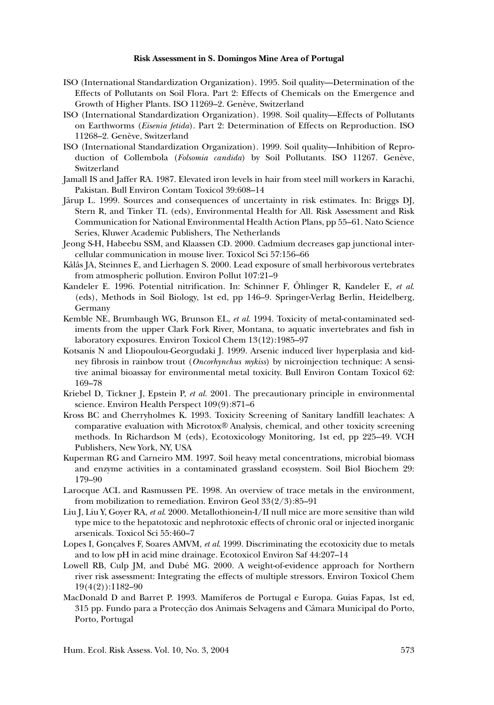- ISO (International Standardization Organization). 1995. Soil quality—Determination of the Effects of Pollutants on Soil Flora. Part 2: Effects of Chemicals on the Emergence and Growth of Higher Plants. ISO 11269-2. Genève, Switzerland
- ISO (International Standardization Organization). 1998. Soil quality—Effects of Pollutants on Earthworms (*Eisenia fetida*). Part 2: Determination of Effects on Reproduction. ISO 11268–2. Genève, Switzerland
- ISO (International Standardization Organization). 1999. Soil quality—Inhibition of Reproduction of Collembola (*Folsomia candida*) by Soil Pollutants. ISO 11267. Genève, Switzerland
- Jamall IS and Jaffer RA. 1987. Elevated iron levels in hair from steel mill workers in Karachi, Pakistan. Bull Environ Contam Toxicol 39:608–14
- Järup L. 1999. Sources and consequences of uncertainty in risk estimates. In: Briggs DJ, Stern R, and Tinker TL (eds), Environmental Health for All. Risk Assessment and Risk Communication for National Environmental Health Action Plans, pp 55–61. Nato Science Series, Kluwer Academic Publishers, The Netherlands
- Jeong S-H, Habeebu SSM, and Klaassen CD. 2000. Cadmium decreases gap junctional intercellular communication in mouse liver. Toxicol Sci 57:156–66
- Kålås JA, Steinnes E, and Lierhagen S. 2000. Lead exposure of small herbivorous vertebrates from atmospheric pollution. Environ Pollut 107:21–9
- Kandeler E. 1996. Potential nitrification. In: Schinner F, Öhlinger R, Kandeler E, et al. (eds), Methods in Soil Biology, 1st ed, pp 146–9. Springer-Verlag Berlin, Heidelberg, Germany
- Kemble NE, Brumbaugh WG, Brunson EL, *et al*. 1994. Toxicity of metal-contaminated sediments from the upper Clark Fork River, Montana, to aquatic invertebrates and fish in laboratory exposures. Environ Toxicol Chem 13(12):1985–97
- Kotsanis N and Lliopoulou-Georgudaki J. 1999. Arsenic induced liver hyperplasia and kidney fibrosis in rainbow trout (*Oncorhynchus mykiss*) by nicroinjection technique: A sensitive animal bioassay for environmental metal toxicity. Bull Environ Contam Toxicol 62: 169–78
- Kriebel D, Tickner J, Epstein P, *et al.* 2001. The precautionary principle in environmental science. Environ Health Perspect 109(9):871–6
- Kross BC and Cherryholmes K. 1993. Toxicity Screening of Sanitary landfill leachates: A comparative evaluation with Microtox<sup>®</sup> Analysis, chemical, and other toxicity screening methods. In Richardson M (eds), Ecotoxicology Monitoring, 1st ed, pp 225–49. VCH Publishers, New York, NY, USA
- Kuperman RG and Carneiro MM. 1997. Soil heavy metal concentrations, microbial biomass and enzyme activities in a contaminated grassland ecosystem. Soil Biol Biochem 29: 179–90
- Larocque ACL and Rasmussen PE. 1998. An overview of trace metals in the environment, from mobilization to remediation. Environ Geol 33(2/3):85–91
- Liu J, Liu Y, Goyer RA, *et al*. 2000. Metallothionein-I/II null mice are more sensitive than wild type mice to the hepatotoxic and nephrotoxic effects of chronic oral or injected inorganic arsenicals. Toxicol Sci 55:460–7
- Lopes I, Gonçalves F, Soares AMVM, et al. 1999. Discriminating the ecotoxicity due to metals and to low pH in acid mine drainage. Ecotoxicol Environ Saf 44:207–14
- Lowell RB, Culp JM, and Dubé MG. 2000. A weight-of-evidence approach for Northern river risk assessment: Integrating the effects of multiple stressors. Environ Toxicol Chem 19(4(2)):1182–90
- MacDonald D and Barret P. 1993. Mamíferos de Portugal e Europa. Guias Fapas, 1st ed, 315 pp. Fundo para a Protecção dos Animais Selvagens and Câmara Municipal do Porto, Porto, Portugal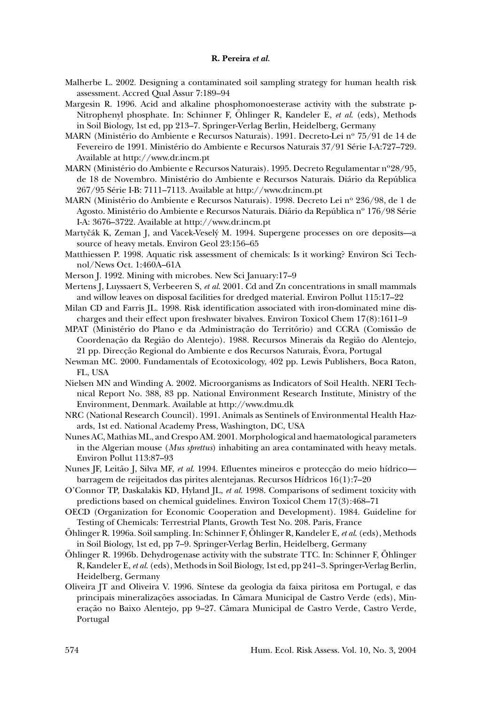- Malherbe L. 2002. Designing a contaminated soil sampling strategy for human health risk assessment. Accred Qual Assur 7:189–94
- Margesin R. 1996. Acid and alkaline phosphomonoesterase activity with the substrate p-Nitrophenyl phosphate. In: Schinner F, Öhlinger R, Kandeler E, et al. (eds), Methods in Soil Biology, 1st ed, pp 213–7. Springer-Verlag Berlin, Heidelberg, Germany
- MARN (Ministério do Ambiente e Recursos Naturais). 1991. Decreto-Lei nº 75/91 de 14 de Fevereiro de 1991. Ministério do Ambiente e Recursos Naturais 37/91 Série I-A:727-729. Available at http://www.dr.incm.pt
- MARN (Ministério do Ambiente e Recursos Naturais). 1995. Decreto Regulamentar nº28/95, de 18 de Novembro. Ministério do Ambiente e Recursos Naturais. Diário da República 267/95 Série I-B: 7111–7113. Available at http://www.dr.incm.pt
- MARN (Ministério do Ambiente e Recursos Naturais). 1998. Decreto Lei nº 236/98, de 1 de Agosto. Ministério do Ambiente e Recursos Naturais. Diário da República nº 176/98 Série I-A: 3676–3722. Available at http://www.dr.incm.pt
- Martyčák K, Zeman J, and Vacek-Veselý M. 1994. Supergene processes on ore deposits—a source of heavy metals. Environ Geol 23:156–65
- Matthiessen P. 1998. Aquatic risk assessment of chemicals: Is it working? Environ Sci Technol/News Oct. 1:460A–61A
- Merson J. 1992. Mining with microbes. New Sci January:17–9
- Mertens J, Luyssaert S, Verbeeren S, *et al*. 2001. Cd and Zn concentrations in small mammals and willow leaves on disposal facilities for dredged material. Environ Pollut 115:17–22
- Milan CD and Farris JL. 1998. Risk identification associated with iron-dominated mine discharges and their effect upon freshwater bivalves. Environ Toxicol Chem 17(8):1611–9
- MPAT (Ministério do Plano e da Administração do Território) and CCRA (Comissão de Coordenação da Região do Alentejo). 1988. Recursos Minerais da Região do Alentejo, 21 pp. Direcção Regional do Ambiente e dos Recursos Naturais, Évora, Portugal
- Newman MC. 2000. Fundamentals of Ecotoxicology, 402 pp. Lewis Publishers, Boca Raton, FL, USA
- Nielsen MN and Winding A. 2002. Microorganisms as Indicators of Soil Health. NERI Technical Report No. 388, 83 pp. National Environment Research Institute, Ministry of the Environment, Denmark. Available at http://www.dmu.dk
- NRC (National Research Council). 1991. Animals as Sentinels of Environmental Health Hazards, 1st ed. National Academy Press, Washington, DC, USA
- Nunes AC, Mathias ML, and Crespo AM. 2001. Morphological and haematological parameters in the Algerian mouse (*Mus sprettus*) inhabiting an area contaminated with heavy metals. Environ Pollut 113:87–93
- Nunes JF, Leitão J, Silva MF, et al. 1994. Efluentes mineiros e protecção do meio hídrico barragem de reijeitados das pirites alentejanas. Recursos Hídricos 16(1):7-20
- O'Connor TP, Daskalakis KD, Hyland JL, *et al*. 1998. Comparisons of sediment toxicity with predictions based on chemical guidelines. Environ Toxicol Chem 17(3):468–71
- OECD (Organization for Economic Cooperation and Development). 1984. Guideline for Testing of Chemicals: Terrestrial Plants, Growth Test No. 208. Paris, France
- Öhlinger R. 1996a. Soil sampling. In: Schinner F, Öhlinger R, Kandeler E, *et al.* (eds), Methods in Soil Biology, 1st ed, pp 7–9. Springer-Verlag Berlin, Heidelberg, Germany
- Öhlinger R. 1996b. Dehydrogenase activity with the substrate TTC. In: Schinner F, Öhlinger R, Kandeler E, *et al*. (eds), Methods in Soil Biology, 1st ed, pp 241–3. Springer-Verlag Berlin, Heidelberg, Germany
- Oliveira JT and Oliveira V. 1996. S´ıntese da geologia da faixa piritosa em Portugal, e das principais mineralizações associadas. In Câmara Municipal de Castro Verde (eds), Mineração no Baixo Alentejo, pp 9-27. Câmara Municipal de Castro Verde, Castro Verde, Portugal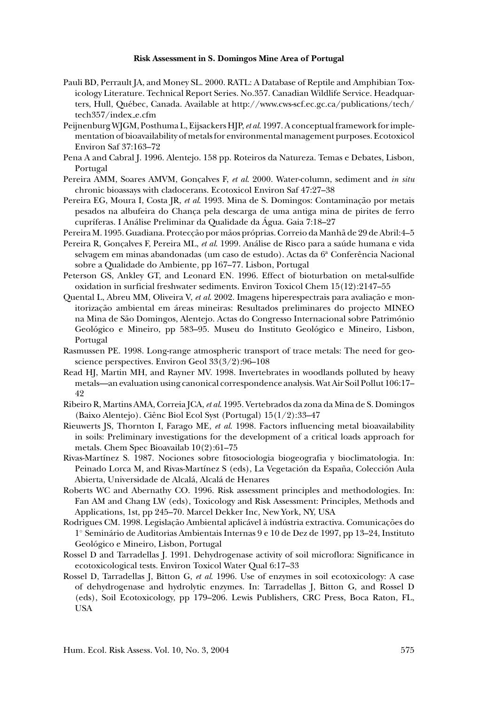- Pauli BD, Perrault JA, and Money SL. 2000. RATL: A Database of Reptile and Amphibian Toxicology Literature. Technical Report Series. No.357. Canadian Wildlife Service. Headquarters, Hull, Québec, Canada. Available at http://www.cws-scf.ec.gc.ca/publications/tech/ tech357/index e.cfm
- Peijnenburg WJGM, Posthuma L, Eijsackers HJP,*et al*. 1997. A conceptual framework for implementation of bioavailability of metals for environmental management purposes. Ecotoxicol Environ Saf 37:163–72
- Pena A and Cabral J. 1996. Alentejo. 158 pp. Roteiros da Natureza. Temas e Debates, Lisbon, Portugal
- Pereira AMM, Soares AMVM, Gonçalves F, et al. 2000. Water-column, sediment and *in situ* chronic bioassays with cladocerans. Ecotoxicol Environ Saf 47:27–38
- Pereira EG, Moura I, Costa JR, *et al.* 1993. Mina de S. Domingos: Contaminação por metais pesados na albufeira do Chança pela descarga de uma antiga mina de pirites de ferro cupríferas. I Análise Preliminar da Qualidade da Água. Gaia 7:18-27
- Pereira M. 1995. Guadiana. Protecção por mãos próprias. Correio da Manhã de 29 de Abril: 4-5
- Pereira R, Gonçalves F, Pereira ML, *et al.* 1999. Análise de Risco para a saúde humana e vida selvagem em minas abandonadas (um caso de estudo). Actas da 6ª Conferência Nacional sobre a Qualidade do Ambiente, pp 167–77. Lisbon, Portugal
- Peterson GS, Ankley GT, and Leonard EN. 1996. Effect of bioturbation on metal-sulfide oxidation in surficial freshwater sediments. Environ Toxicol Chem 15(12):2147–55
- Quental L, Abreu MM, Oliveira V, et al. 2002. Imagens hiperespectrais para avaliação e monitorização ambiental em áreas mineiras: Resultados preliminares do projecto MINEO na Mina de São Domingos, Alentejo. Actas do Congresso Internacional sobre Património Geológico e Mineiro, pp 583-95. Museu do Instituto Geológico e Mineiro, Lisbon, Portugal
- Rasmussen PE. 1998. Long-range atmospheric transport of trace metals: The need for geoscience perspectives. Environ Geol 33(3/2):96–108
- Read HJ, Martin MH, and Rayner MV. 1998. Invertebrates in woodlands polluted by heavy metals—an evaluation using canonical correspondence analysis. Wat Air Soil Pollut 106:17– 42
- Ribeiro R, Martins AMA, Correia JCA, *et al*. 1995. Vertebrados da zona da Mina de S. Domingos (Baixo Alentejo). Ciênc Biol Ecol Syst (Portugal)  $15(1/2)$ :33-47
- Rieuwerts JS, Thornton I, Farago ME, *et al*. 1998. Factors influencing metal bioavailability in soils: Preliminary investigations for the development of a critical loads approach for metals. Chem Spec Bioavailab 10(2):61–75
- Rivas-Martínez S. 1987. Nociones sobre fitosociologia biogeografia y bioclimatologia. In: Peinado Lorca M, and Rivas-Martínez S (eds), La Vegetación da España, Colección Aula Abierta, Universidade de Alcalá, Alcalá de Henares
- Roberts WC and Abernathy CO. 1996. Risk assessment principles and methodologies. In: Fan AM and Chang LW (eds), Toxicology and Risk Assessment: Principles, Methods and Applications, 1st, pp 245–70. Marcel Dekker Inc, New York, NY, USA
- Rodrigues CM. 1998. Legislação Ambiental aplicável à indústria extractiva. Comunicações do  $1^\circ$  Seminário de Auditorias Ambientais Internas 9 e 10 de Dez de 1997, pp 13–24, Instituto Geológico e Mineiro, Lisbon, Portugal
- Rossel D and Tarradellas J. 1991. Dehydrogenase activity of soil microflora: Significance in ecotoxicological tests. Environ Toxicol Water Qual 6:17–33
- Rossel D, Tarradellas J, Bitton G, *et al*. 1996. Use of enzymes in soil ecotoxicology: A case of dehydrogenase and hydrolytic enzymes. In: Tarradellas J, Bitton G, and Rossel D (eds), Soil Ecotoxicology, pp 179–206. Lewis Publishers, CRC Press, Boca Raton, FL, USA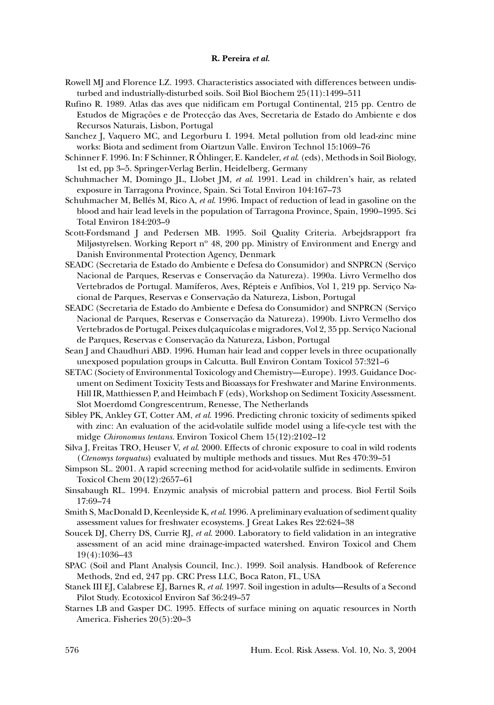- Rowell MJ and Florence LZ. 1993. Characteristics associated with differences between undisturbed and industrially-disturbed soils. Soil Biol Biochem 25(11):1499–511
- Rufino R. 1989. Atlas das aves que nidificam em Portugal Continental, 215 pp. Centro de Estudos de Migrações e de Protecção das Aves, Secretaria de Estado do Ambiente e dos Recursos Naturais, Lisbon, Portugal
- Sanchez J, Vaquero MC, and Legorburu I. 1994. Metal pollution from old lead-zinc mine works: Biota and sediment from Oiartzun Valle. Environ Technol 15:1069–76
- Schinner F. 1996. In: F Schinner, R Öhlinger, E. Kandeler, *et al.* (eds), Methods in Soil Biology, 1st ed, pp 3–5. Springer-Verlag Berlin, Heidelberg, Germany
- Schuhmacher M, Domingo JL, Llobet JM, *et al*. 1991. Lead in children's hair, as related exposure in Tarragona Province, Spain. Sci Total Environ 104:167–73
- Schuhmacher M, Bellés M, Rico A, *et al.* 1996. Impact of reduction of lead in gasoline on the blood and hair lead levels in the population of Tarragona Province, Spain, 1990–1995. Sci Total Environ 184:203–9
- Scott-Fordsmand J and Pedersen MB. 1995. Soil Quality Criteria. Arbejdsrapport fra Miljøstyrelsen. Working Report n<sup>o</sup> 48, 200 pp. Ministry of Environment and Energy and Danish Environmental Protection Agency, Denmark
- SEADC (Secretaria de Estado do Ambiente e Defesa do Consumidor) and SNPRCN (Servico¸ Nacional de Parques, Reservas e Conservação da Natureza). 1990a. Livro Vermelho dos Vertebrados de Portugal. Mamíferos, Aves, Répteis e Anfíbios, Vol 1, 219 pp. Serviço Nacional de Parques, Reservas e Conservação da Natureza, Lisbon, Portugal
- SEADC (Secretaria de Estado do Ambiente e Defesa do Consumidor) and SNPRCN (Servico¸ Nacional de Parques, Reservas e Conservação da Natureza). 1990b. Livro Vermelho dos Vertebrados de Portugal. Peixes dulçaquícolas e migradores, Vol 2, 35 pp. Serviço Nacional de Parques, Reservas e Conservação da Natureza, Lisbon, Portugal
- Sean J and Chaudhuri ABD. 1996. Human hair lead and copper levels in three ocupationally unexposed population groups in Calcutta. Bull Environ Contam Toxicol 57:321–6
- SETAC (Society of Environmental Toxicology and Chemistry—Europe). 1993. Guidance Document on Sediment Toxicity Tests and Bioassays for Freshwater and Marine Environments. Hill IR, Matthiessen P, and Heimbach F (eds), Workshop on Sediment Toxicity Assessment. Slot Moerdomd Congrescentrum, Renesse, The Netherlands
- Sibley PK, Ankley GT, Cotter AM, *et al*. 1996. Predicting chronic toxicity of sediments spiked with zinc: An evaluation of the acid-volatile sulfide model using a life-cycle test with the midge *Chironomus tentans*. Environ Toxicol Chem 15(12):2102–12
- Silva J, Freitas TRO, Heuser V, *et al*. 2000. Effects of chronic exposure to coal in wild rodents (*Ctenomys torquatus*) evaluated by multiple methods and tissues. Mut Res 470:39–51
- Simpson SL. 2001. A rapid screening method for acid-volatile sulfide in sediments. Environ Toxicol Chem 20(12):2657–61
- Sinsabaugh RL. 1994. Enzymic analysis of microbial pattern and process. Biol Fertil Soils 17:69–74
- Smith S, MacDonald D, Keenleyside K, *et al*. 1996. A preliminary evaluation of sediment quality assessment values for freshwater ecosystems. J Great Lakes Res 22:624–38
- Soucek DJ, Cherry DS, Currie RJ, *et al*. 2000. Laboratory to field validation in an integrative assessment of an acid mine drainage-impacted watershed. Environ Toxicol and Chem 19(4):1036–43
- SPAC (Soil and Plant Analysis Council, Inc.). 1999. Soil analysis. Handbook of Reference Methods, 2nd ed, 247 pp. CRC Press LLC, Boca Raton, FL, USA
- Stanek III EJ, Calabrese EJ, Barnes R, *et al*. 1997. Soil ingestion in adults—Results of a Second Pilot Study. Ecotoxicol Environ Saf 36:249–57
- Starnes LB and Gasper DC. 1995. Effects of surface mining on aquatic resources in North America. Fisheries 20(5):20–3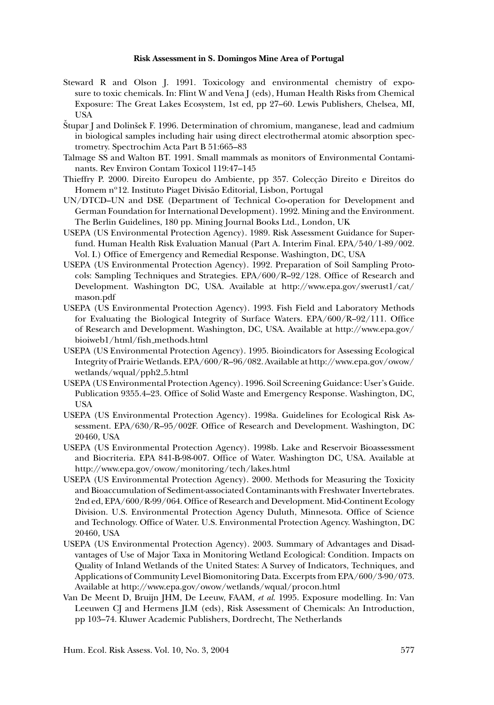- Steward R and Olson J. 1991. Toxicology and environmental chemistry of exposure to toxic chemicals. In: Flint W and Vena J (eds), Human Health Risks from Chemical Exposure: The Great Lakes Ecosystem, 1st ed, pp 27–60. Lewis Publishers, Chelsea, MI, USA
- Štupar J and Dolinšek F. 1996. Determination of chromium, manganese, lead and cadmium in biological samples including hair using direct electrothermal atomic absorption spectrometry. Spectrochim Acta Part B 51:665–83
- Talmage SS and Walton BT. 1991. Small mammals as monitors of Environmental Contaminants. Rev Environ Contam Toxicol 119:47–145
- Thieffry P. 2000. Direito Europeu do Ambiente, pp 357. Colecção Direito e Direitos do Homem nº12. Instituto Piaget Divisão Editorial, Lisbon, Portugal
- UN/DTCD–UN and DSE (Department of Technical Co-operation for Development and German Foundation for International Development). 1992. Mining and the Environment. The Berlin Guidelines, 180 pp. Mining Journal Books Ltd., London, UK
- USEPA (US Environmental Protection Agency). 1989. Risk Assessment Guidance for Superfund. Human Health Risk Evaluation Manual (Part A. Interim Final. EPA/540/1-89/002. Vol. I.) Office of Emergency and Remedial Response. Washington, DC, USA
- USEPA (US Environmental Protection Agency). 1992. Preparation of Soil Sampling Protocols: Sampling Techniques and Strategies. EPA/600/R–92/128. Office of Research and Development. Washington DC, USA. Available at http://www.epa.gov/swerust1/cat/ mason.pdf
- USEPA (US Environmental Protection Agency). 1993. Fish Field and Laboratory Methods for Evaluating the Biological Integrity of Surface Waters. EPA/600/R–92/111. Office of Research and Development. Washington, DC, USA. Available at http://www.epa.gov/ bioiweb1/html/fish methods.html
- USEPA (US Environmental Protection Agency). 1995. Bioindicators for Assessing Ecological Integrity of Prairie Wetlands. EPA/600/R–96/082. Available at http://www.epa.gov/owow/ wetlands/wqual/pph2 5.html
- USEPA (US Environmental Protection Agency). 1996. Soil Screening Guidance: User's Guide. Publication 9355.4–23. Office of Solid Waste and Emergency Response. Washington, DC, USA
- USEPA (US Environmental Protection Agency). 1998a. Guidelines for Ecological Risk Assessment. EPA/630/R–95/002F. Office of Research and Development. Washington, DC 20460, USA
- USEPA (US Environmental Protection Agency). 1998b. Lake and Reservoir Bioassessment and Biocriteria. EPA 841-B-98-007. Office of Water. Washington DC, USA. Available at http://www.epa.gov/owow/monitoring/tech/lakes.html
- USEPA (US Environmental Protection Agency). 2000. Methods for Measuring the Toxicity and Bioaccumulation of Sediment-associated Contaminants with Freshwater Invertebrates. 2nd ed, EPA/600/R-99/064. Office of Research and Development. Mid-Continent Ecology Division. U.S. Environmental Protection Agency Duluth, Minnesota. Office of Science and Technology. Office of Water. U.S. Environmental Protection Agency. Washington, DC 20460, USA
- USEPA (US Environmental Protection Agency). 2003. Summary of Advantages and Disadvantages of Use of Major Taxa in Monitoring Wetland Ecological: Condition. Impacts on Quality of Inland Wetlands of the United States: A Survey of Indicators, Techniques, and Applications of Community Level Biomonitoring Data. Excerpts from EPA/600/3-90/073. Available at http://www.epa.gov/owow/wetlands/wqual/procon.html
- Van De Meent D, Bruijn JHM, De Leeuw, FAAM, *et al.* 1995. Exposure modelling. In: Van Leeuwen CJ and Hermens JLM (eds), Risk Assessment of Chemicals: An Introduction, pp 103–74. Kluwer Academic Publishers, Dordrecht, The Netherlands